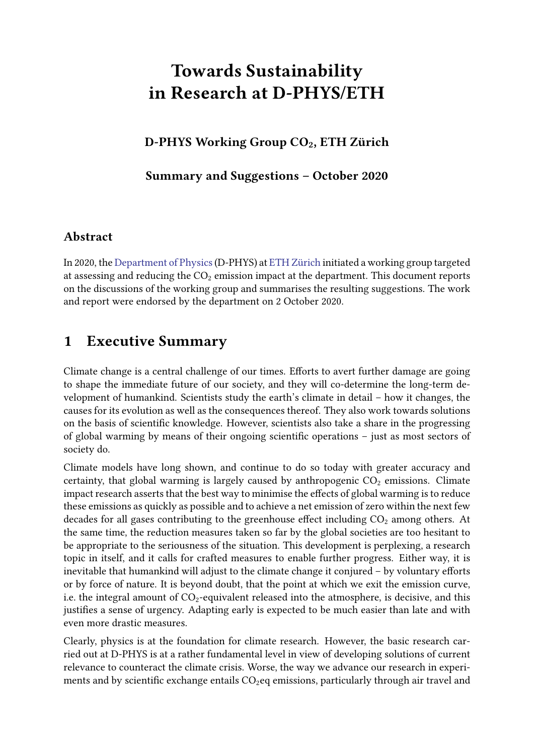# Towards Sustainability in Research at D-PHYS/ETH

D-PHYS Working Group CO<sub>2</sub>, ETH Zürich

Summary and Suggestions – October 2020

## Abstract

In 2020, the [Department of Physics](https://www.phys.ethz.ch)(D-PHYS) at [ETH Zürich](https://www.ethz.ch/en) initiated a working group targeted at assessing and reducing the  $CO<sub>2</sub>$  emission impact at the department. This document reports on the discussions of the working group and summarises the resulting suggestions. The work and report were endorsed by the department on 2 October 2020.

## <span id="page-0-0"></span>1 Executive Summary

Climate change is a central challenge of our times. Efforts to avert further damage are going to shape the immediate future of our society, and they will co-determine the long-term development of humankind. Scientists study the earth's climate in detail – how it changes, the causes for its evolution as well as the consequences thereof. They also work towards solutions on the basis of scientific knowledge. However, scientists also take a share in the progressing of global warming by means of their ongoing scientific operations  $-$  just as most sectors of society do.

Climate models have long shown, and continue to do so today with greater accuracy and certainty, that global warming is largely caused by anthropogenic  $CO<sub>2</sub>$  emissions. Climate impact research asserts that the best way to minimise the effects of global warming is to reduce these emissions as quickly as possible and to achieve a net emission of zero within the next few decades for all gases contributing to the greenhouse effect including  $CO<sub>2</sub>$  among others. At the same time, the reduction measures taken so far by the global societies are too hesitant to be appropriate to the seriousness of the situation. This development is perplexing, a research topic in itself, and it calls for crafted measures to enable further progress. Either way, it is inevitable that humankind will adjust to the climate change it conjured - by voluntary efforts or by force of nature. It is beyond doubt, that the point at which we exit the emission curve, i.e. the integral amount of  $CO_2$ -equivalent released into the atmosphere, is decisive, and this justifies a sense of urgency. Adapting early is expected to be much easier than late and with even more drastic measures.

Clearly, physics is at the foundation for climate research. However, the basic research carried out at D-PHYS is at a rather fundamental level in view of developing solutions of current relevance to counteract the climate crisis. Worse, the way we advance our research in experiments and by scientific exchange entails  $CO<sub>2</sub>$ eq emissions, particularly through air travel and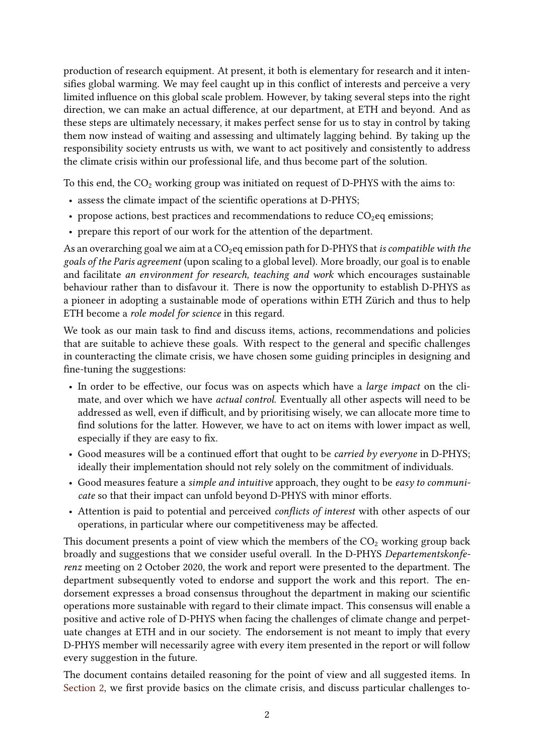production of research equipment. At present, it both is elementary for research and it intensifies global warming. We may feel caught up in this conflict of interests and perceive a very limited influence on this global scale problem. However, by taking several steps into the right direction, we can make an actual difference, at our department, at ETH and beyond. And as these steps are ultimately necessary, it makes perfect sense for us to stay in control by taking them now instead of waiting and assessing and ultimately lagging behind. By taking up the responsibility society entrusts us with, we want to act positively and consistently to address the climate crisis within our professional life, and thus become part of the solution.

To this end, the  $CO_2$  working group was initiated on request of D-PHYS with the aims to:

- assess the climate impact of the scientific operations at D-PHYS;
- propose actions, best practices and recommendations to reduce  $CO<sub>2</sub>$ eq emissions;
- prepare this report of our work for the attention of the department.

As an overarching goal we aim at a  $CO<sub>2</sub>$ eq emission path for D-PHYS that is compatible with the goals of the Paris agreement (upon scaling to a global level). More broadly, our goal is to enable and facilitate an environment for research, teaching and work which encourages sustainable behaviour rather than to disfavour it. There is now the opportunity to establish D-PHYS as a pioneer in adopting a sustainable mode of operations within ETH Zürich and thus to help ETH become a role model for science in this regard.

We took as our main task to find and discuss items, actions, recommendations and policies that are suitable to achieve these goals. With respect to the general and specific challenges in counteracting the climate crisis, we have chosen some guiding principles in designing and fine-tuning the suggestions:

- In order to be effective, our focus was on aspects which have a large impact on the climate, and over which we have actual control. Eventually all other aspects will need to be addressed as well, even if difficult, and by prioritising wisely, we can allocate more time to find solutions for the latter. However, we have to act on items with lower impact as well, especially if they are easy to fix.
- Good measures will be a continued effort that ought to be *carried by everyone* in D-PHYS; ideally their implementation should not rely solely on the commitment of individuals.
- Good measures feature a simple and intuitive approach, they ought to be easy to communicate so that their impact can unfold beyond D-PHYS with minor efforts.
- Attention is paid to potential and perceived conflicts of interest with other aspects of our operations, in particular where our competitiveness may be affected.

This document presents a point of view which the members of the  $CO<sub>2</sub>$  working group back broadly and suggestions that we consider useful overall. In the D-PHYS Departementskonferenz meeting on 2 October 2020, the work and report were presented to the department. The department subsequently voted to endorse and support the work and this report. The endorsement expresses a broad consensus throughout the department in making our scientific operations more sustainable with regard to their climate impact. This consensus will enable a positive and active role of D-PHYS when facing the challenges of climate change and perpetuate changes at ETH and in our society. The endorsement is not meant to imply that every D-PHYS member will necessarily agree with every item presented in the report or will follow every suggestion in the future.

The document contains detailed reasoning for the point of view and all suggested items. In [Section 2,](#page-5-0) we first provide basics on the climate crisis, and discuss particular challenges to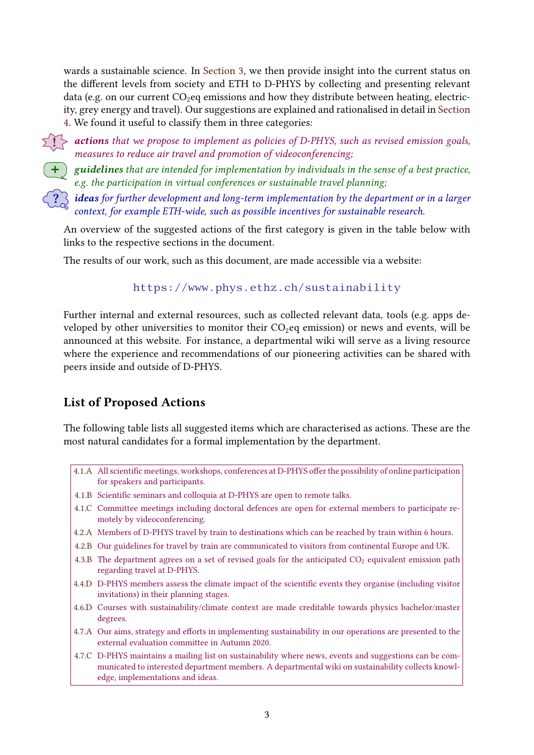wards a sustainable science. In [Section 3,](#page-10-0) we then provide insight into the current status on the different levels from society and ETH to D-PHYS by collecting and presenting relevant data (e.g. on our current  $CO<sub>2</sub>$ eq emissions and how they distribute between heating, electricity, grey energy and travel). Our suggestions are explained and rationalised in detail in [Section](#page-19-0) [4.](#page-19-0) We found it useful to classify them in three categories:

 $\{\}$  > actions that we propose to implement as policies of D-PHYS, such as revised emission goals, measures to reduce air travel and promotion of videoconferencing;

 $+$  guidelines that are intended for implementation by individuals in the sense of a best practice, e.g. the participation in virtual conferences or sustainable travel planning;

 $\Re$  **ideas** for further development and long-term implementation by the department or in a larger context, for example ETH-wide, such as possible incentives for sustainable research.

An overview of the suggested actions of the first category is given in the table below with links to the respective sections in the document.

The results of our work, such as this document, are made accessible via a website:

#### <https://www.phys.ethz.ch/sustainability>

Further internal and external resources, such as collected relevant data, tools (e.g. apps developed by other universities to monitor their  $CO<sub>2</sub>$ eq emission) or news and events, will be announced at this website. For instance, a departmental wiki will serve as a living resource where the experience and recommendations of our pioneering activities can be shared with peers inside and outside of D-PHYS.

## List of Proposed Actions

The following table lists all suggested items which are characterised as actions. These are the most natural candidates for a formal implementation by the department.

- [4.1.A](#page-21-0) All scientific meetings, workshops, conferences at D-PHYS offer the possibility of online participation for speakers and participants.
- [4.1.B](#page-21-1) Scientific seminars and colloquia at D-PHYS are open to remote talks.
- [4.1.C](#page-22-0) Committee meetings including doctoral defences are open for external members to participate remotely by videoconferencing.
- [4.2.A](#page-25-0) Members of D-PHYS travel by train to destinations which can be reached by train within 6 hours.
- [4.2.B](#page-26-0) Our guidelines for travel by train are communicated to visitors from continental Europe and UK.
- [4.3.B](#page-29-0) The department agrees on a set of revised goals for the anticipated  $CO<sub>2</sub>$  equivalent emission path regarding travel at D-PHYS.
- [4.4.D](#page-34-0) D-PHYS members assess the climate impact of the scientific events they organise (including visitor invitations) in their planning stages.
- [4.6.D](#page-41-0) Courses with sustainability/climate context are made creditable towards physics bachelor/master degrees.
- [4.7.A](#page-42-0) Our aims, strategy and efforts in implementing sustainability in our operations are presented to the external evaluation committee in Autumn 2020.
- [4.7.C](#page-43-0) D-PHYS maintains a mailing list on sustainability where news, events and suggestions can be communicated to interested department members. A departmental wiki on sustainability collects knowledge, implementations and ideas.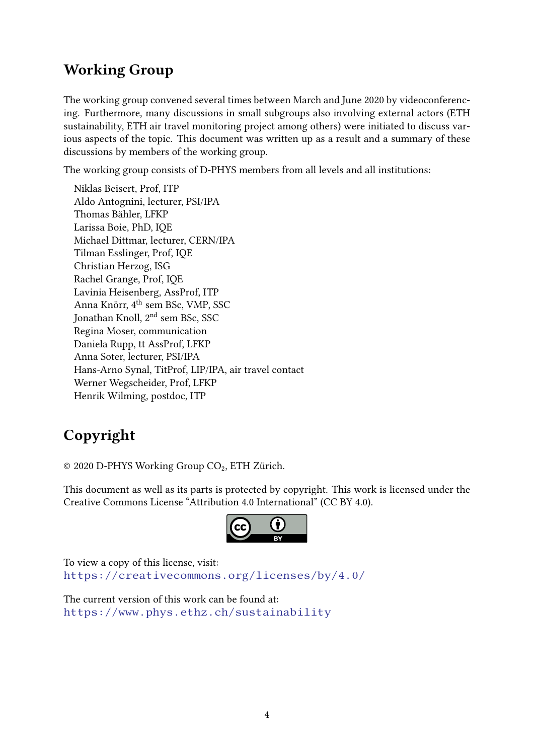# Working Group

The working group convened several times between March and June 2020 by videoconferencing. Furthermore, many discussions in small subgroups also involving external actors (ETH sustainability, ETH air travel monitoring project among others) were initiated to discuss various aspects of the topic. This document was written up as a result and a summary of these discussions by members of the working group.

The working group consists of D-PHYS members from all levels and all institutions:

Niklas Beisert, Prof, ITP Aldo Antognini, lecturer, PSI/IPA Thomas Bähler, LFKP Larissa Boie, PhD, IQE Michael Dittmar, lecturer, CERN/IPA Tilman Esslinger, Prof, IQE Christian Herzog, ISG Rachel Grange, Prof, IQE Lavinia Heisenberg, AssProf, ITP Anna Knörr, 4th sem BSc, VMP, SSC Jonathan Knoll, 2nd sem BSc, SSC Regina Moser, communication Daniela Rupp, tt AssProf, LFKP Anna Soter, lecturer, PSI/IPA Hans-Arno Synal, TitProf, LIP/IPA, air travel contact Werner Wegscheider, Prof, LFKP Henrik Wilming, postdoc, ITP

# Copyright

© 2020 D-PHYS Working Group CO<sub>2</sub>, ETH Zürich.

This document as well as its parts is protected by copyright. This work is licensed under the Creative Commons License "Attribution 4.0 International" (CC BY 4.0).



To view a copy of this license, visit: <https://creativecommons.org/licenses/by/4.0/>

The current version of this work can be found at: <https://www.phys.ethz.ch/sustainability>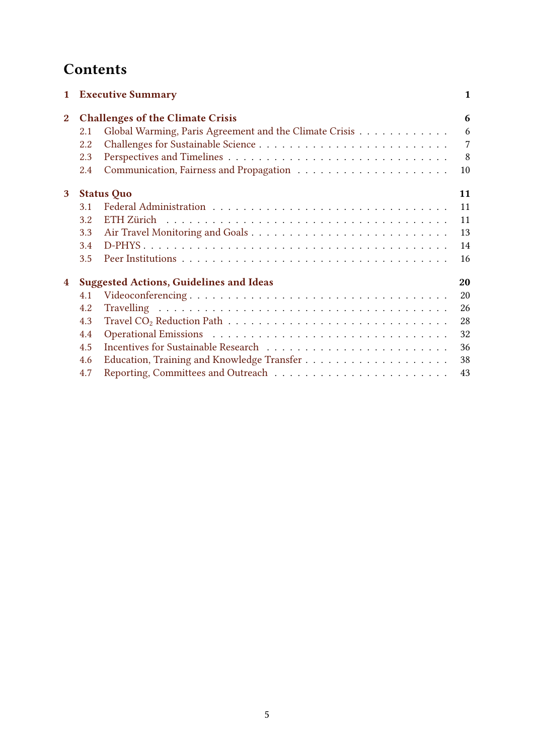# **Contents**

| $\mathbf{1}$   |     | <b>Executive Summary</b>                               | 1              |
|----------------|-----|--------------------------------------------------------|----------------|
| $\overline{2}$ |     | <b>Challenges of the Climate Crisis</b>                | 6              |
|                | 2.1 | Global Warming, Paris Agreement and the Climate Crisis | 6              |
|                | 2.2 |                                                        | $\overline{7}$ |
|                | 2.3 |                                                        | 8              |
|                | 2.4 |                                                        | 10             |
| 3              |     | <b>Status Quo</b>                                      | 11             |
|                | 3.1 |                                                        | 11             |
|                | 3.2 |                                                        | 11             |
|                | 3.3 |                                                        | 13             |
|                | 3.4 |                                                        | 14             |
|                | 3.5 |                                                        | 16             |
| 4              |     | <b>Suggested Actions, Guidelines and Ideas</b>         | 20             |
|                | 4.1 |                                                        | 20             |
|                | 4.2 |                                                        | 26             |
|                | 4.3 |                                                        | 28             |
|                | 4.4 |                                                        | 32             |
|                | 4.5 |                                                        | 36             |
|                | 4.6 |                                                        | 38             |
|                | 4.7 |                                                        | 43             |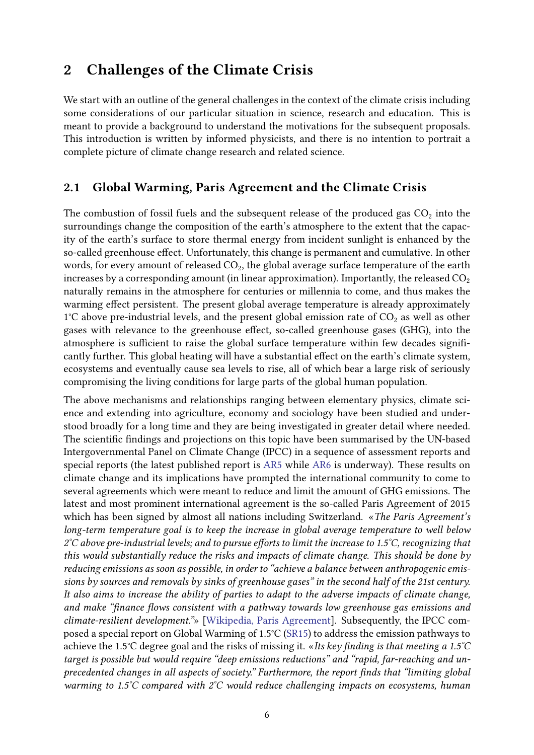## <span id="page-5-0"></span>2 Challenges of the Climate Crisis

We start with an outline of the general challenges in the context of the climate crisis including some considerations of our particular situation in science, research and education. This is meant to provide a background to understand the motivations for the subsequent proposals. This introduction is written by informed physicists, and there is no intention to portrait a complete picture of climate change research and related science.

## <span id="page-5-1"></span>2.1 Global Warming, Paris Agreement and the Climate Crisis

The combustion of fossil fuels and the subsequent release of the produced gas  $CO<sub>2</sub>$  into the surroundings change the composition of the earth's atmosphere to the extent that the capacity of the earth's surface to store thermal energy from incident sunlight is enhanced by the so-called greenhouse effect. Unfortunately, this change is permanent and cumulative. In other words, for every amount of released  $CO<sub>2</sub>$ , the global average surface temperature of the earth increases by a corresponding amount (in linear approximation). Importantly, the released  $CO<sub>2</sub>$ naturally remains in the atmosphere for centuries or millennia to come, and thus makes the warming effect persistent. The present global average temperature is already approximately  $1^{\circ}$ C above pre-industrial levels, and the present global emission rate of  $CO<sub>2</sub>$  as well as other gases with relevance to the greenhouse effect, so-called greenhouse gases (GHG), into the atmosphere is sufficient to raise the global surface temperature within few decades significantly further. This global heating will have a substantial effect on the earth's climate system, ecosystems and eventually cause sea levels to rise, all of which bear a large risk of seriously compromising the living conditions for large parts of the global human population.

The above mechanisms and relationships ranging between elementary physics, climate science and extending into agriculture, economy and sociology have been studied and understood broadly for a long time and they are being investigated in greater detail where needed. The scientific findings and projections on this topic have been summarised by the UN-based Intergovernmental Panel on Climate Change (IPCC) in a sequence of assessment reports and special reports (the latest published report is [AR5](https://www.ipcc.ch/assessment-report/ar5/) while [AR6](https://www.ipcc.ch/assessment-report/ar6/) is underway). These results on climate change and its implications have prompted the international community to come to several agreements which were meant to reduce and limit the amount of GHG emissions. The latest and most prominent international agreement is the so-called Paris Agreement of 2015 which has been signed by almost all nations including Switzerland. «The Paris Agreement's long-term temperature goal is to keep the increase in global average temperature to well below  $2^{\circ}$ C above pre-industrial levels; and to pursue efforts to limit the increase to 1.5 $\degree$ C, recognizing that this would substantially reduce the risks and impacts of climate change. This should be done by reducing emissions as soon as possible, in order to "achieve a balance between anthropogenic emissions by sources and removals by sinks of greenhouse gases" in the second half of the 21st century. It also aims to increase the ability of parties to adapt to the adverse impacts of climate change, and make "finance flows consistent with a pathway towards low greenhouse gas emissions and climate-resilient development."» [\[Wikipedia, Paris Agreement\]](https://en.wikipedia.org/wiki/Paris_Agreement). Subsequently, the IPCC composed a special report on Global Warming of 1.5°C [\(SR15\)](https://www.ipcc.ch/sr15/) to address the emission pathways to achieve the 1.5°C degree goal and the risks of missing it. «Its key finding is that meeting a 1.5°C target is possible but would require "deep emissions reductions" and "rapid, far-reaching and unprecedented changes in all aspects of society." Furthermore, the report finds that "limiting global warming to 1.5°C compared with 2°C would reduce challenging impacts on ecosystems, human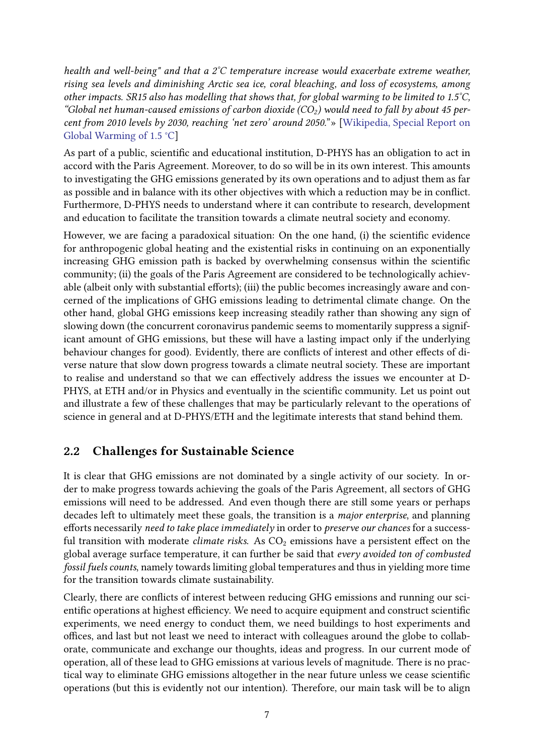health and well-being" and that a  $2^{\circ}C$  temperature increase would exacerbate extreme weather, rising sea levels and diminishing Arctic sea ice, coral bleaching, and loss of ecosystems, among other impacts. SR15 also has modelling that shows that, for global warming to be limited to 1.5°C, "Global net human-caused emissions of carbon dioxide (CO<sub>2</sub>) would need to fall by about 45 percent from 2010 levels by 2030, reaching 'net zero' around 2050."» [\[Wikipedia, Special Report on](https://en.wikipedia.org/wiki/Special_Report_on_Global_Warming_of_1.5_%C2%B0C) [Global Warming of 1.5](https://en.wikipedia.org/wiki/Special_Report_on_Global_Warming_of_1.5_%C2%B0C) °C]

As part of a public, scientific and educational institution, D-PHYS has an obligation to act in accord with the Paris Agreement. Moreover, to do so will be in its own interest. This amounts to investigating the GHG emissions generated by its own operations and to adjust them as far as possible and in balance with its other objectives with which a reduction may be in conflict. Furthermore, D-PHYS needs to understand where it can contribute to research, development and education to facilitate the transition towards a climate neutral society and economy.

However, we are facing a paradoxical situation: On the one hand, (i) the scientific evidence for anthropogenic global heating and the existential risks in continuing on an exponentially increasing GHG emission path is backed by overwhelming consensus within the scientific community; (ii) the goals of the Paris Agreement are considered to be technologically achievable (albeit only with substantial efforts); (iii) the public becomes increasingly aware and concerned of the implications of GHG emissions leading to detrimental climate change. On the other hand, global GHG emissions keep increasing steadily rather than showing any sign of slowing down (the concurrent coronavirus pandemic seems to momentarily suppress a significant amount of GHG emissions, but these will have a lasting impact only if the underlying behaviour changes for good). Evidently, there are conflicts of interest and other effects of diverse nature that slow down progress towards a climate neutral society. These are important to realise and understand so that we can effectively address the issues we encounter at D-PHYS, at ETH and/or in Physics and eventually in the scientific community. Let us point out and illustrate a few of these challenges that may be particularly relevant to the operations of science in general and at D-PHYS/ETH and the legitimate interests that stand behind them.

## <span id="page-6-0"></span>2.2 Challenges for Sustainable Science

It is clear that GHG emissions are not dominated by a single activity of our society. In order to make progress towards achieving the goals of the Paris Agreement, all sectors of GHG emissions will need to be addressed. And even though there are still some years or perhaps decades left to ultimately meet these goals, the transition is a major enterprise, and planning efforts necessarily need to take place immediately in order to preserve our chances for a successful transition with moderate *climate risks*. As  $CO<sub>2</sub>$  emissions have a persistent effect on the global average surface temperature, it can further be said that every avoided ton of combusted fossil fuels counts, namely towards limiting global temperatures and thus in yielding more time for the transition towards climate sustainability.

Clearly, there are conflicts of interest between reducing GHG emissions and running our scientific operations at highest efficiency. We need to acquire equipment and construct scientific experiments, we need energy to conduct them, we need buildings to host experiments and offices, and last but not least we need to interact with colleagues around the globe to collaborate, communicate and exchange our thoughts, ideas and progress. In our current mode of operation, all of these lead to GHG emissions at various levels of magnitude. There is no practical way to eliminate GHG emissions altogether in the near future unless we cease scientific operations (but this is evidently not our intention). Therefore, our main task will be to align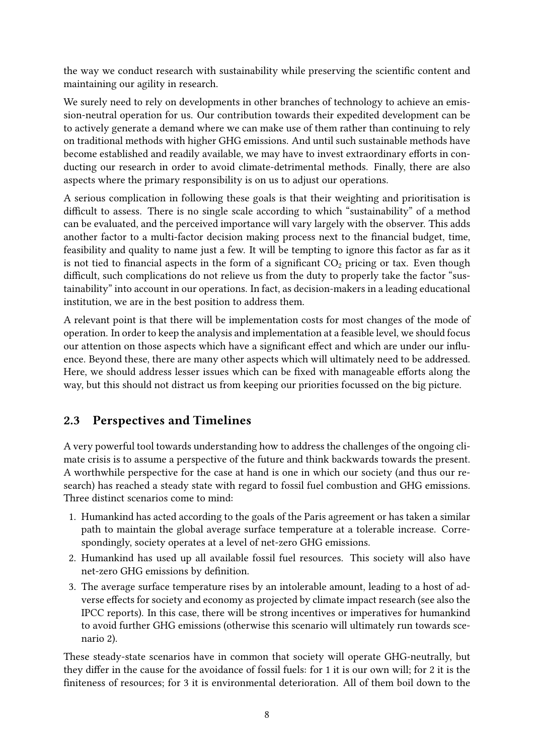the way we conduct research with sustainability while preserving the scientific content and maintaining our agility in research.

We surely need to rely on developments in other branches of technology to achieve an emission-neutral operation for us. Our contribution towards their expedited development can be to actively generate a demand where we can make use of them rather than continuing to rely on traditional methods with higher GHG emissions. And until such sustainable methods have become established and readily available, we may have to invest extraordinary efforts in conducting our research in order to avoid climate-detrimental methods. Finally, there are also aspects where the primary responsibility is on us to adjust our operations.

A serious complication in following these goals is that their weighting and prioritisation is difficult to assess. There is no single scale according to which "sustainability" of a method can be evaluated, and the perceived importance will vary largely with the observer. This adds another factor to a multi-factor decision making process next to the financial budget, time, feasibility and quality to name just a few. It will be tempting to ignore this factor as far as it is not tied to financial aspects in the form of a significant  $CO<sub>2</sub>$  pricing or tax. Even though difficult, such complications do not relieve us from the duty to properly take the factor "sustainability" into account in our operations. In fact, as decision-makers in a leading educational institution, we are in the best position to address them.

A relevant point is that there will be implementation costs for most changes of the mode of operation. In order to keep the analysis and implementation at a feasible level, we should focus our attention on those aspects which have a significant effect and which are under our influence. Beyond these, there are many other aspects which will ultimately need to be addressed. Here, we should address lesser issues which can be fixed with manageable efforts along the way, but this should not distract us from keeping our priorities focussed on the big picture.

## <span id="page-7-0"></span>2.3 Perspectives and Timelines

A very powerful tool towards understanding how to address the challenges of the ongoing climate crisis is to assume a perspective of the future and think backwards towards the present. A worthwhile perspective for the case at hand is one in which our society (and thus our research) has reached a steady state with regard to fossil fuel combustion and GHG emissions. Three distinct scenarios come to mind:

- 1. Humankind has acted according to the goals of the Paris agreement or has taken a similar path to maintain the global average surface temperature at a tolerable increase. Correspondingly, society operates at a level of net-zero GHG emissions.
- 2. Humankind has used up all available fossil fuel resources. This society will also have net-zero GHG emissions by definition.
- 3. The average surface temperature rises by an intolerable amount, leading to a host of adverse effects for society and economy as projected by climate impact research (see also the IPCC reports). In this case, there will be strong incentives or imperatives for humankind to avoid further GHG emissions (otherwise this scenario will ultimately run towards scenario 2).

These steady-state scenarios have in common that society will operate GHG-neutrally, but they differ in the cause for the avoidance of fossil fuels: for 1 it is our own will; for 2 it is the niteness of resources; for 3 it is environmental deterioration. All of them boil down to the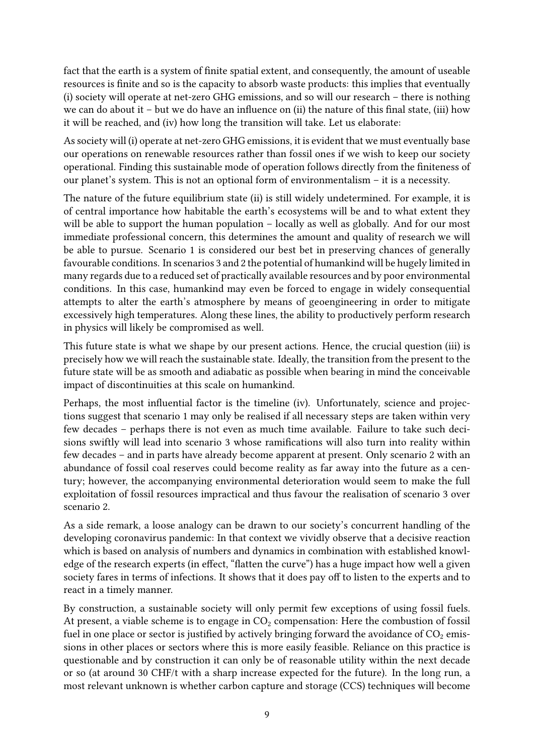fact that the earth is a system of finite spatial extent, and consequently, the amount of useable resources is finite and so is the capacity to absorb waste products: this implies that eventually (i) society will operate at net-zero GHG emissions, and so will our research – there is nothing we can do about it – but we do have an influence on (ii) the nature of this final state, (iii) how it will be reached, and (iv) how long the transition will take. Let us elaborate:

As society will (i) operate at net-zero GHG emissions, it is evident that we must eventually base our operations on renewable resources rather than fossil ones if we wish to keep our society operational. Finding this sustainable mode of operation follows directly from the finiteness of our planet's system. This is not an optional form of environmentalism – it is a necessity.

The nature of the future equilibrium state (ii) is still widely undetermined. For example, it is of central importance how habitable the earth's ecosystems will be and to what extent they will be able to support the human population – locally as well as globally. And for our most immediate professional concern, this determines the amount and quality of research we will be able to pursue. Scenario 1 is considered our best bet in preserving chances of generally favourable conditions. In scenarios 3 and 2 the potential of humankind will be hugely limited in many regards due to a reduced set of practically available resources and by poor environmental conditions. In this case, humankind may even be forced to engage in widely consequential attempts to alter the earth's atmosphere by means of geoengineering in order to mitigate excessively high temperatures. Along these lines, the ability to productively perform research in physics will likely be compromised as well.

This future state is what we shape by our present actions. Hence, the crucial question (iii) is precisely how we will reach the sustainable state. Ideally, the transition from the present to the future state will be as smooth and adiabatic as possible when bearing in mind the conceivable impact of discontinuities at this scale on humankind.

Perhaps, the most influential factor is the timeline (iv). Unfortunately, science and projections suggest that scenario 1 may only be realised if all necessary steps are taken within very few decades – perhaps there is not even as much time available. Failure to take such decisions swiftly will lead into scenario 3 whose ramifications will also turn into reality within few decades – and in parts have already become apparent at present. Only scenario 2 with an abundance of fossil coal reserves could become reality as far away into the future as a century; however, the accompanying environmental deterioration would seem to make the full exploitation of fossil resources impractical and thus favour the realisation of scenario 3 over scenario 2.

As a side remark, a loose analogy can be drawn to our society's concurrent handling of the developing coronavirus pandemic: In that context we vividly observe that a decisive reaction which is based on analysis of numbers and dynamics in combination with established knowledge of the research experts (in effect, "flatten the curve") has a huge impact how well a given society fares in terms of infections. It shows that it does pay off to listen to the experts and to react in a timely manner.

By construction, a sustainable society will only permit few exceptions of using fossil fuels. At present, a viable scheme is to engage in  $CO<sub>2</sub>$  compensation: Here the combustion of fossil fuel in one place or sector is justified by actively bringing forward the avoidance of  $CO<sub>2</sub>$  emissions in other places or sectors where this is more easily feasible. Reliance on this practice is questionable and by construction it can only be of reasonable utility within the next decade or so (at around 30 CHF/t with a sharp increase expected for the future). In the long run, a most relevant unknown is whether carbon capture and storage (CCS) techniques will become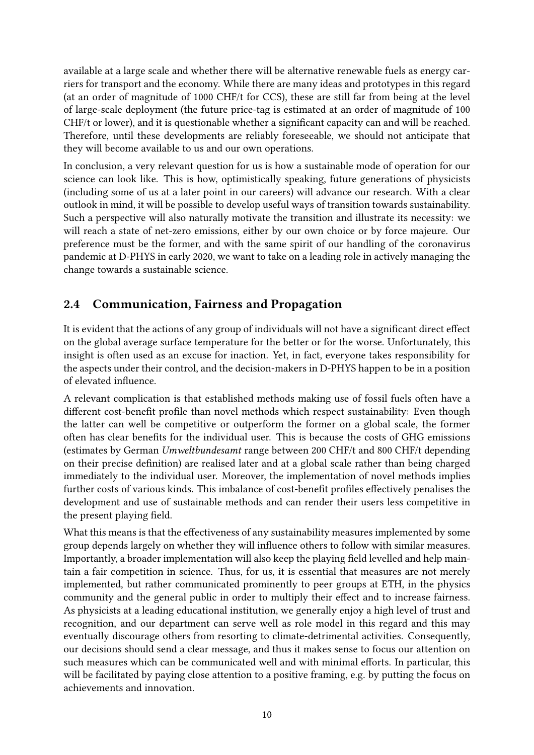available at a large scale and whether there will be alternative renewable fuels as energy carriers for transport and the economy. While there are many ideas and prototypes in this regard (at an order of magnitude of 1000 CHF/t for CCS), these are still far from being at the level of large-scale deployment (the future price-tag is estimated at an order of magnitude of 100 CHF/t or lower), and it is questionable whether a significant capacity can and will be reached. Therefore, until these developments are reliably foreseeable, we should not anticipate that they will become available to us and our own operations.

In conclusion, a very relevant question for us is how a sustainable mode of operation for our science can look like. This is how, optimistically speaking, future generations of physicists (including some of us at a later point in our careers) will advance our research. With a clear outlook in mind, it will be possible to develop useful ways of transition towards sustainability. Such a perspective will also naturally motivate the transition and illustrate its necessity: we will reach a state of net-zero emissions, either by our own choice or by force majeure. Our preference must be the former, and with the same spirit of our handling of the coronavirus pandemic at D-PHYS in early 2020, we want to take on a leading role in actively managing the change towards a sustainable science.

## <span id="page-9-0"></span>2.4 Communication, Fairness and Propagation

It is evident that the actions of any group of individuals will not have a significant direct effect on the global average surface temperature for the better or for the worse. Unfortunately, this insight is often used as an excuse for inaction. Yet, in fact, everyone takes responsibility for the aspects under their control, and the decision-makers in D-PHYS happen to be in a position of elevated influence.

A relevant complication is that established methods making use of fossil fuels often have a different cost-benefit profile than novel methods which respect sustainability: Even though the latter can well be competitive or outperform the former on a global scale, the former often has clear benefits for the individual user. This is because the costs of GHG emissions (estimates by German Umweltbundesamt range between 200 CHF/t and 800 CHF/t depending on their precise definition) are realised later and at a global scale rather than being charged immediately to the individual user. Moreover, the implementation of novel methods implies further costs of various kinds. This imbalance of cost-benefit profiles effectively penalises the development and use of sustainable methods and can render their users less competitive in the present playing field.

What this means is that the effectiveness of any sustainability measures implemented by some group depends largely on whether they will influence others to follow with similar measures. Importantly, a broader implementation will also keep the playing field levelled and help maintain a fair competition in science. Thus, for us, it is essential that measures are not merely implemented, but rather communicated prominently to peer groups at ETH, in the physics community and the general public in order to multiply their effect and to increase fairness. As physicists at a leading educational institution, we generally enjoy a high level of trust and recognition, and our department can serve well as role model in this regard and this may eventually discourage others from resorting to climate-detrimental activities. Consequently, our decisions should send a clear message, and thus it makes sense to focus our attention on such measures which can be communicated well and with minimal efforts. In particular, this will be facilitated by paying close attention to a positive framing, e.g. by putting the focus on achievements and innovation.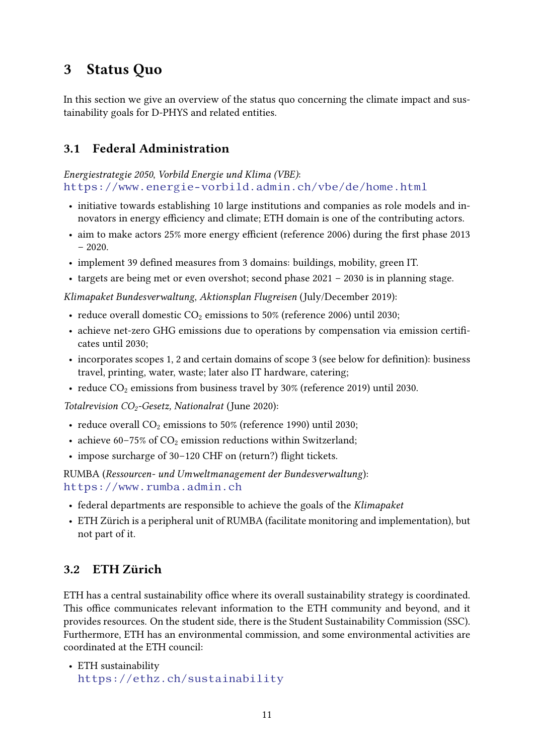## <span id="page-10-0"></span>3 Status Quo

In this section we give an overview of the status quo concerning the climate impact and sustainability goals for D-PHYS and related entities.

## <span id="page-10-1"></span>3.1 Federal Administration

Energiestrategie 2050, Vorbild Energie und Klima (VBE): <https://www.energie-vorbild.admin.ch/vbe/de/home.html>

- initiative towards establishing 10 large institutions and companies as role models and innovators in energy efficiency and climate; ETH domain is one of the contributing actors.
- aim to make actors  $25\%$  more energy efficient (reference 2006) during the first phase 2013  $-2020$ .
- implement 39 defined measures from 3 domains: buildings, mobility, green IT.
- targets are being met or even overshot; second phase 2021 2030 is in planning stage.

Klimapaket Bundesverwaltung, Aktionsplan Flugreisen (July/December 2019):

- reduce overall domestic  $CO<sub>2</sub>$  emissions to 50% (reference 2006) until 2030;
- achieve net-zero GHG emissions due to operations by compensation via emission certificates until 2030;
- $\bullet$  incorporates scopes 1, 2 and certain domains of scope 3 (see below for definition): business travel, printing, water, waste; later also IT hardware, catering;
- reduce  $CO<sub>2</sub>$  emissions from business travel by 30% (reference 2019) until 2030.

Totalrevision  $CO_2$ -Gesetz, Nationalrat (June 2020):

- reduce overall  $CO<sub>2</sub>$  emissions to 50% (reference 1990) until 2030;
- achieve 60–75% of  $CO<sub>2</sub>$  emission reductions within Switzerland;
- impose surcharge of 30–120 CHF on (return?) flight tickets.

RUMBA (Ressourcen- und Umweltmanagement der Bundesverwaltung): <https://www.rumba.admin.ch>

- federal departments are responsible to achieve the goals of the Klimapaket
- ETH Zürich is a peripheral unit of RUMBA (facilitate monitoring and implementation), but not part of it.

## <span id="page-10-2"></span>3.2 ETH Zürich

ETH has a central sustainability office where its overall sustainability strategy is coordinated. This office communicates relevant information to the ETH community and beyond, and it provides resources. On the student side, there is the Student Sustainability Commission (SSC). Furthermore, ETH has an environmental commission, and some environmental activities are coordinated at the ETH council:

• ETH sustainability <https://ethz.ch/sustainability>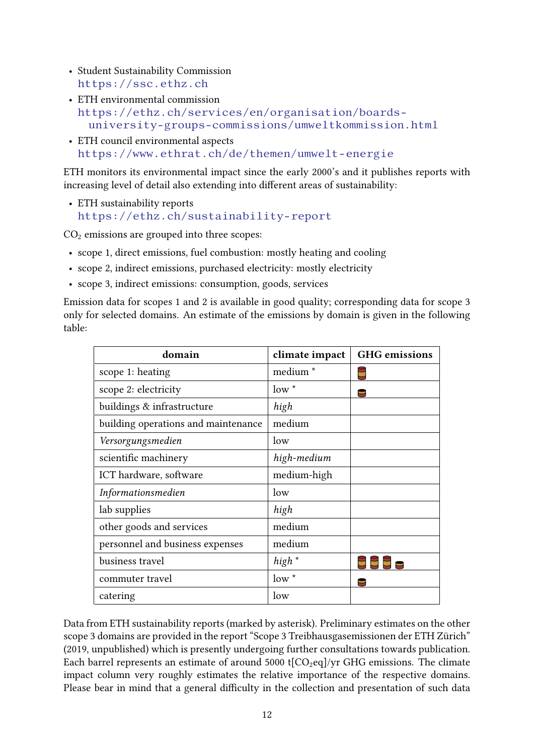- Student Sustainability Commission <https://ssc.ethz.ch>
- ETH environmental commission [https://ethz.ch/services/en/organisation/boards](https://ethz.ch/services/en/organisation/boards-university-groups-commissions/umweltkommission.html)[university-groups-commissions/umweltkommission.html](https://ethz.ch/services/en/organisation/boards-university-groups-commissions/umweltkommission.html)
- ETH council environmental aspects <https://www.ethrat.ch/de/themen/umwelt-energie>

ETH monitors its environmental impact since the early 2000's and it publishes reports with increasing level of detail also extending into different areas of sustainability:

• ETH sustainability reports <https://ethz.ch/sustainability-report>

 $CO<sub>2</sub>$  emissions are grouped into three scopes:

- scope 1, direct emissions, fuel combustion: mostly heating and cooling
- scope 2, indirect emissions, purchased electricity: mostly electricity
- scope 3, indirect emissions: consumption, goods, services

Emission data for scopes 1 and 2 is available in good quality; corresponding data for scope 3 only for selected domains. An estimate of the emissions by domain is given in the following table:

| domain                              | climate impact      | <b>GHG</b> emissions |
|-------------------------------------|---------------------|----------------------|
| scope 1: heating                    | medium <sup>*</sup> |                      |
| scope 2: electricity                | $low^*$             |                      |
| buildings & infrastructure          | high                |                      |
| building operations and maintenance | medium              |                      |
| Versorgungsmedien                   | low                 |                      |
| scientific machinery                | high-medium         |                      |
| ICT hardware, software              | medium-high         |                      |
| Informationsmedien                  | low                 |                      |
| lab supplies                        | high                |                      |
| other goods and services            | medium              |                      |
| personnel and business expenses     | medium              |                      |
| business travel                     | high *              |                      |
| commuter travel                     | $low^*$             |                      |
| catering                            | low                 |                      |

Data from ETH sustainability reports (marked by asterisk). Preliminary estimates on the other scope 3 domains are provided in the report "Scope 3 Treibhausgasemissionen der ETH Zürich" (2019, unpublished) which is presently undergoing further consultations towards publication. Each barrel represents an estimate of around 5000 t[ $CO<sub>2</sub>eq$ ]/yr GHG emissions. The climate impact column very roughly estimates the relative importance of the respective domains. Please bear in mind that a general difficulty in the collection and presentation of such data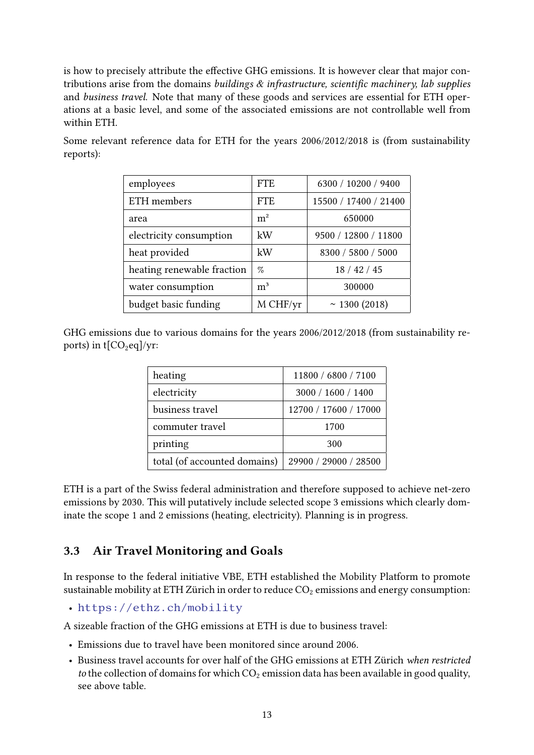is how to precisely attribute the effective GHG emissions. It is however clear that major contributions arise from the domains buildings  $\&$  infrastructure, scientific machinery, lab supplies and business travel. Note that many of these goods and services are essential for ETH operations at a basic level, and some of the associated emissions are not controllable well from within ETH.

| employees                  | <b>FTE</b>     | 6300 / 10200 / 9400   |
|----------------------------|----------------|-----------------------|
| ETH members                | <b>FTE</b>     | 15500 / 17400 / 21400 |
| area                       | m <sup>2</sup> | 650000                |
| electricity consumption    | kW             | 9500 / 12800 / 11800  |
| heat provided              | kW             | 8300 / 5800 / 5000    |
| heating renewable fraction | $\%$           | 18/42/45              |
| water consumption          | m <sup>3</sup> | 300000                |
| budget basic funding       | M CHF/yr       | ~ 1300 $(2018)$       |

Some relevant reference data for ETH for the years 2006/2012/2018 is (from sustainability reports):

GHG emissions due to various domains for the years 2006/2012/2018 (from sustainability reports) in  $t[CO_2eq]/yr$ :

| heating                      | 11800 / 6800 / 7100   |
|------------------------------|-----------------------|
| electricity                  | 3000 / 1600 / 1400    |
| business travel              | 12700 / 17600 / 17000 |
| commuter travel              | 1700                  |
| printing                     | 300                   |
| total (of accounted domains) | 29900 / 29000 / 28500 |

ETH is a part of the Swiss federal administration and therefore supposed to achieve net-zero emissions by 2030. This will putatively include selected scope 3 emissions which clearly dominate the scope 1 and 2 emissions (heating, electricity). Planning is in progress.

## <span id="page-12-0"></span>3.3 Air Travel Monitoring and Goals

In response to the federal initiative VBE, ETH established the Mobility Platform to promote sustainable mobility at ETH Zürich in order to reduce  $CO<sub>2</sub>$  emissions and energy consumption:

• <https://ethz.ch/mobility>

A sizeable fraction of the GHG emissions at ETH is due to business travel:

- Emissions due to travel have been monitored since around 2006.
- Business travel accounts for over half of the GHG emissions at ETH Zürich when restricted to the collection of domains for which  $CO<sub>2</sub>$  emission data has been available in good quality, see above table.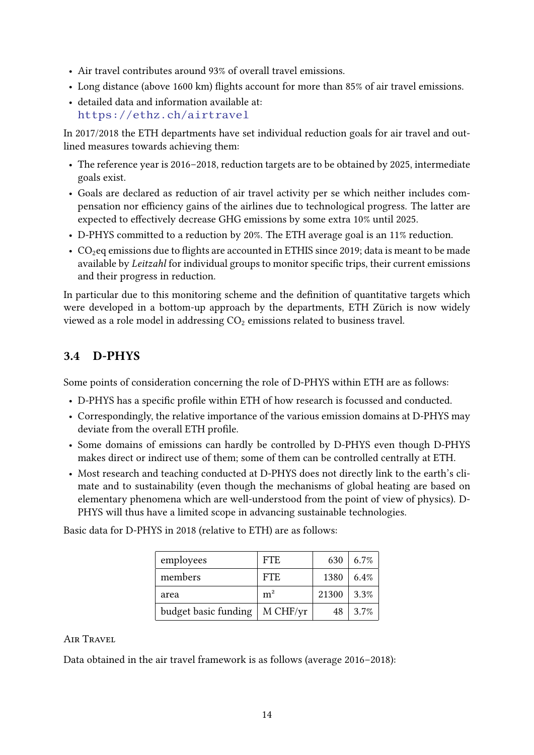- Air travel contributes around 93% of overall travel emissions.
- Long distance (above 1600 km) flights account for more than 85% of air travel emissions.
- detailed data and information available at: <https://ethz.ch/airtravel>

In 2017/2018 the ETH departments have set individual reduction goals for air travel and outlined measures towards achieving them:

- The reference year is 2016–2018, reduction targets are to be obtained by 2025, intermediate goals exist.
- Goals are declared as reduction of air travel activity per se which neither includes compensation nor efficiency gains of the airlines due to technological progress. The latter are expected to effectively decrease GHG emissions by some extra 10% until 2025.
- D-PHYS committed to a reduction by 20%. The ETH average goal is an 11% reduction.
- $CO<sub>2</sub>$ eq emissions due to flights are accounted in ETHIS since 2019; data is meant to be made available by *Leitzahl* for individual groups to monitor specific trips, their current emissions and their progress in reduction.

In particular due to this monitoring scheme and the definition of quantitative targets which were developed in a bottom-up approach by the departments, ETH Zürich is now widely viewed as a role model in addressing  $CO<sub>2</sub>$  emissions related to business travel.

## <span id="page-13-0"></span>3.4 D-PHYS

Some points of consideration concerning the role of D-PHYS within ETH are as follows:

- D-PHYS has a specific profile within ETH of how research is focussed and conducted.
- Correspondingly, the relative importance of the various emission domains at D-PHYS may deviate from the overall ETH profile.
- Some domains of emissions can hardly be controlled by D-PHYS even though D-PHYS makes direct or indirect use of them; some of them can be controlled centrally at ETH.
- Most research and teaching conducted at D-PHYS does not directly link to the earth's climate and to sustainability (even though the mechanisms of global heating are based on elementary phenomena which are well-understood from the point of view of physics). D-PHYS will thus have a limited scope in advancing sustainable technologies.

employees FTE 630 6.7% members | FTE | 1380 | 6.4% area  $\rm{m}^2$  21300 3.3% budget basic funding  $\vert$  M CHF/yr  $\vert$  48  $\vert$  3.7%

Basic data for D-PHYS in 2018 (relative to ETH) are as follows:

## Air Travel

Data obtained in the air travel framework is as follows (average 2016–2018):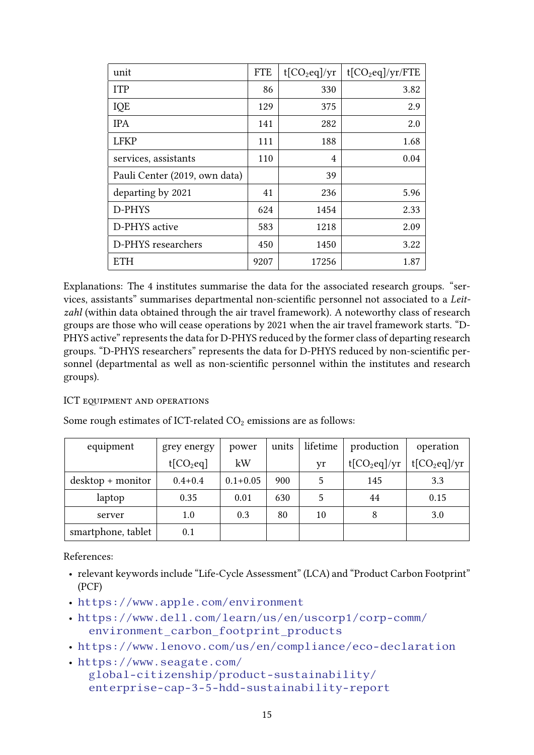| unit                          | <b>FTE</b> | $t$ [CO <sub>2</sub> eq]/yr | $t[CO_2eq]/yr/FTE$ |
|-------------------------------|------------|-----------------------------|--------------------|
| <b>ITP</b>                    | 86         | 330                         | 3.82               |
| IQE                           | 129        | 375                         | 2.9                |
| <b>IPA</b>                    | 141        | 282                         | 2.0                |
| <b>LFKP</b>                   | 111        | 188                         | 1.68               |
| services, assistants          | 110        | 4                           | 0.04               |
| Pauli Center (2019, own data) |            | 39                          |                    |
| departing by 2021             | 41         | 236                         | 5.96               |
| D-PHYS                        | 624        | 1454                        | 2.33               |
| D-PHYS active                 | 583        | 1218                        | 2.09               |
| D-PHYS researchers            | 450        | 1450                        | 3.22               |
| <b>ETH</b>                    | 9207       | 17256                       | 1.87               |

Explanations: The 4 institutes summarise the data for the associated research groups. "services, assistants" summarises departmental non-scientific personnel not associated to a Leitzahl (within data obtained through the air travel framework). A noteworthy class of research groups are those who will cease operations by 2021 when the air travel framework starts. "D-PHYS active" represents the data for D-PHYS reduced by the former class of departing research groups. "D-PHYS researchers" represents the data for D-PHYS reduced by non-scientific personnel (departmental as well as non-scientific personnel within the institutes and research groups).

#### ICT EQUIPMENT AND OPERATIONS

| equipment                          | grey energy | power        | units | lifetime | production     | operation      |
|------------------------------------|-------------|--------------|-------|----------|----------------|----------------|
|                                    | $t[CO_2eq]$ | kW           |       | yr       | $t[CO_2eq]/yr$ | $t[CO_2eq]/yr$ |
| $\text{ desktop} + \text{monitor}$ | $0.4 + 0.4$ | $0.1 + 0.05$ | 900   |          | 145            | 3.3            |
| laptop                             | 0.35        | 0.01         | 630   |          | 44             | 0.15           |
| server                             | 1.0         | 0.3          | 80    | 10       | 8              | 3.0            |
| smartphone, tablet                 | 0.1         |              |       |          |                |                |

Some rough estimates of ICT-related  $CO<sub>2</sub>$  emissions are as follows:

References:

- relevant keywords include "Life-Cycle Assessment" (LCA) and "Product Carbon Footprint" (PCF)
- <https://www.apple.com/environment>
- [https://www.dell.com/learn/us/en/uscorp1/corp-comm/](https://www.dell.com/learn/us/en/uscorp1/corp-comm/environment_carbon_footprint_products) [environment\\_carbon\\_footprint\\_products](https://www.dell.com/learn/us/en/uscorp1/corp-comm/environment_carbon_footprint_products)
- <https://www.lenovo.com/us/en/compliance/eco-declaration>
- [https://www.seagate.com/](https://www.seagate.com/global-citizenship/product-sustainability/enterprise-cap-3-5-hdd-sustainability-report) [global-citizenship/product-sustainability/](https://www.seagate.com/global-citizenship/product-sustainability/enterprise-cap-3-5-hdd-sustainability-report) [enterprise-cap-3-5-hdd-sustainability-report](https://www.seagate.com/global-citizenship/product-sustainability/enterprise-cap-3-5-hdd-sustainability-report)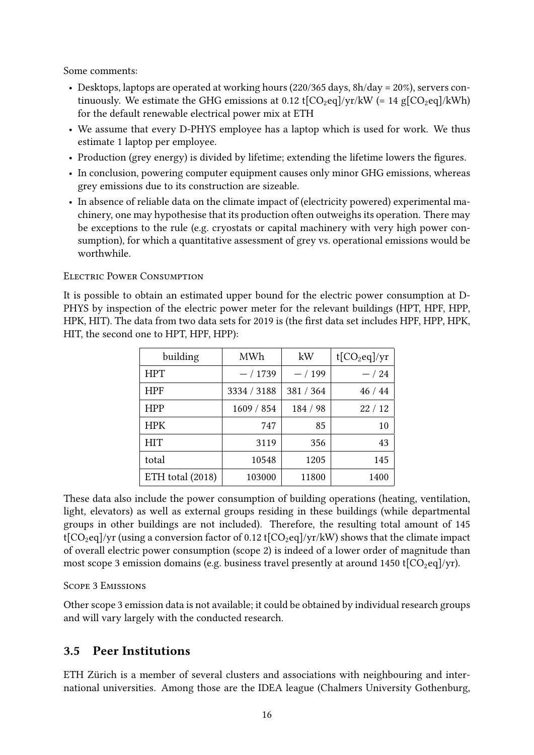Some comments:

- Desktops, laptops are operated at working hours (220/365 days, 8h/day = 20%), servers continuously. We estimate the GHG emissions at 0.12 t[ $CO<sub>2</sub>eq$ ]/yr/kW (= 14 g[ $CO<sub>2</sub>eq$ ]/kWh) for the default renewable electrical power mix at ETH
- We assume that every D-PHYS employee has a laptop which is used for work. We thus estimate 1 laptop per employee.
- Production (grey energy) is divided by lifetime; extending the lifetime lowers the figures.
- In conclusion, powering computer equipment causes only minor GHG emissions, whereas grey emissions due to its construction are sizeable.
- In absence of reliable data on the climate impact of (electricity powered) experimental machinery, one may hypothesise that its production often outweighs its operation. There may be exceptions to the rule (e.g. cryostats or capital machinery with very high power consumption), for which a quantitative assessment of grey vs. operational emissions would be worthwhile.

#### Electric Power Consumption

It is possible to obtain an estimated upper bound for the electric power consumption at D-PHYS by inspection of the electric power meter for the relevant buildings (HPT, HPF, HPP, HPK, HIT). The data from two data sets for 2019 is (the first data set includes HPF, HPP, HPK, HIT, the second one to HPT, HPF, HPP):

| building         | MWh         | kW        | $t[CO_2eq]/yr$ |
|------------------|-------------|-----------|----------------|
| <b>HPT</b>       | $-/1739$    | $-/199$   | $-/24$         |
| <b>HPF</b>       | 3334 / 3188 | 381 / 364 | 46/44          |
| <b>HPP</b>       | 1609 / 854  | 184 / 98  | 22/12          |
| <b>HPK</b>       | 747         | 85        | 10             |
| HIT              | 3119        | 356       | 43             |
| total            | 10548       | 1205      | 145            |
| ETH total (2018) | 103000      | 11800     | 1400           |

These data also include the power consumption of building operations (heating, ventilation, light, elevators) as well as external groups residing in these buildings (while departmental groups in other buildings are not included). Therefore, the resulting total amount of 145 t[ $CO<sub>2</sub>eq$ ]/yr (using a conversion factor of 0.12 t[ $CO<sub>2</sub>eq$ ]/yr/kW) shows that the climate impact of overall electric power consumption (scope 2) is indeed of a lower order of magnitude than most scope 3 emission domains (e.g. business travel presently at around 1450 t[ $CO<sub>2</sub>eq$ ]/yr).

#### Scope 3 Emissions

Other scope 3 emission data is not available; it could be obtained by individual research groups and will vary largely with the conducted research.

## <span id="page-15-0"></span>3.5 Peer Institutions

ETH Zürich is a member of several clusters and associations with neighbouring and international universities. Among those are the IDEA league (Chalmers University Gothenburg,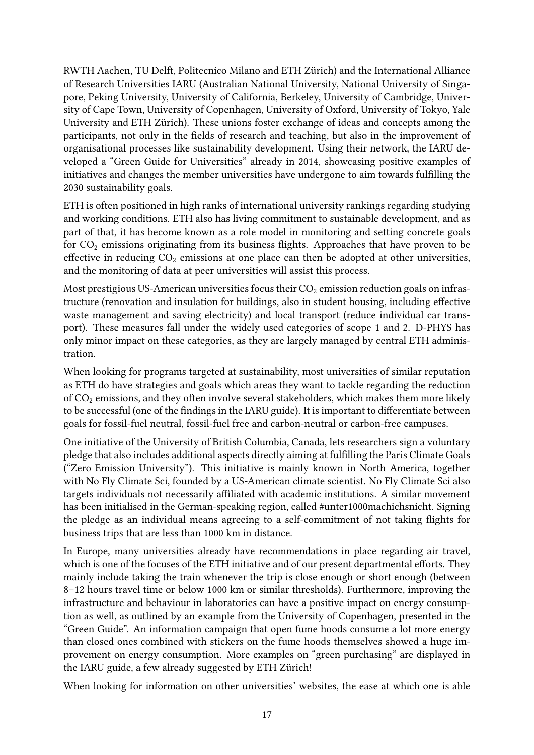RWTH Aachen, TU Delft, Politecnico Milano and ETH Zürich) and the International Alliance of Research Universities IARU (Australian National University, National University of Singapore, Peking University, University of California, Berkeley, University of Cambridge, University of Cape Town, University of Copenhagen, University of Oxford, University of Tokyo, Yale University and ETH Zürich). These unions foster exchange of ideas and concepts among the participants, not only in the fields of research and teaching, but also in the improvement of organisational processes like sustainability development. Using their network, the IARU developed a "Green Guide for Universities" already in 2014, showcasing positive examples of initiatives and changes the member universities have undergone to aim towards fullling the 2030 sustainability goals.

ETH is often positioned in high ranks of international university rankings regarding studying and working conditions. ETH also has living commitment to sustainable development, and as part of that, it has become known as a role model in monitoring and setting concrete goals for  $CO<sub>2</sub>$  emissions originating from its business flights. Approaches that have proven to be effective in reducing  $CO<sub>2</sub>$  emissions at one place can then be adopted at other universities, and the monitoring of data at peer universities will assist this process.

Most prestigious US-American universities focus their  $CO<sub>2</sub>$  emission reduction goals on infrastructure (renovation and insulation for buildings, also in student housing, including effective waste management and saving electricity) and local transport (reduce individual car transport). These measures fall under the widely used categories of scope 1 and 2. D-PHYS has only minor impact on these categories, as they are largely managed by central ETH administration.

When looking for programs targeted at sustainability, most universities of similar reputation as ETH do have strategies and goals which areas they want to tackle regarding the reduction of  $CO<sub>2</sub>$  emissions, and they often involve several stakeholders, which makes them more likely to be successful (one of the findings in the IARU guide). It is important to differentiate between goals for fossil-fuel neutral, fossil-fuel free and carbon-neutral or carbon-free campuses.

One initiative of the University of British Columbia, Canada, lets researchers sign a voluntary pledge that also includes additional aspects directly aiming at fullling the Paris Climate Goals ("Zero Emission University"). This initiative is mainly known in North America, together with No Fly Climate Sci, founded by a US-American climate scientist. No Fly Climate Sci also targets individuals not necessarily affiliated with academic institutions. A similar movement has been initialised in the German-speaking region, called #unter1000machichsnicht. Signing the pledge as an individual means agreeing to a self-commitment of not taking flights for business trips that are less than 1000 km in distance.

In Europe, many universities already have recommendations in place regarding air travel, which is one of the focuses of the ETH initiative and of our present departmental efforts. They mainly include taking the train whenever the trip is close enough or short enough (between 8–12 hours travel time or below 1000 km or similar thresholds). Furthermore, improving the infrastructure and behaviour in laboratories can have a positive impact on energy consumption as well, as outlined by an example from the University of Copenhagen, presented in the "Green Guide". An information campaign that open fume hoods consume a lot more energy than closed ones combined with stickers on the fume hoods themselves showed a huge improvement on energy consumption. More examples on "green purchasing" are displayed in the IARU guide, a few already suggested by ETH Zürich!

When looking for information on other universities' websites, the ease at which one is able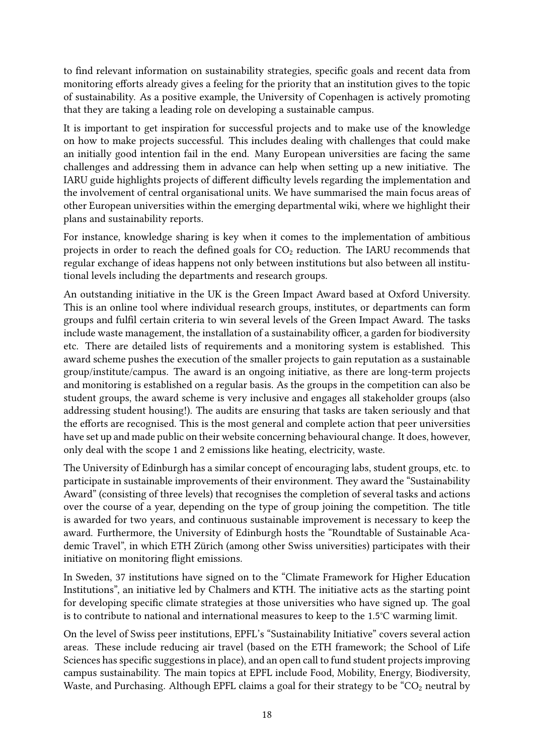to find relevant information on sustainability strategies, specific goals and recent data from monitoring efforts already gives a feeling for the priority that an institution gives to the topic of sustainability. As a positive example, the University of Copenhagen is actively promoting that they are taking a leading role on developing a sustainable campus.

It is important to get inspiration for successful projects and to make use of the knowledge on how to make projects successful. This includes dealing with challenges that could make an initially good intention fail in the end. Many European universities are facing the same challenges and addressing them in advance can help when setting up a new initiative. The IARU guide highlights projects of different difficulty levels regarding the implementation and the involvement of central organisational units. We have summarised the main focus areas of other European universities within the emerging departmental wiki, where we highlight their plans and sustainability reports.

For instance, knowledge sharing is key when it comes to the implementation of ambitious projects in order to reach the defined goals for  $CO<sub>2</sub>$  reduction. The IARU recommends that regular exchange of ideas happens not only between institutions but also between all institutional levels including the departments and research groups.

An outstanding initiative in the UK is the Green Impact Award based at Oxford University. This is an online tool where individual research groups, institutes, or departments can form groups and fulfil certain criteria to win several levels of the Green Impact Award. The tasks include waste management, the installation of a sustainability officer, a garden for biodiversity etc. There are detailed lists of requirements and a monitoring system is established. This award scheme pushes the execution of the smaller projects to gain reputation as a sustainable group/institute/campus. The award is an ongoing initiative, as there are long-term projects and monitoring is established on a regular basis. As the groups in the competition can also be student groups, the award scheme is very inclusive and engages all stakeholder groups (also addressing student housing!). The audits are ensuring that tasks are taken seriously and that the efforts are recognised. This is the most general and complete action that peer universities have set up and made public on their website concerning behavioural change. It does, however, only deal with the scope 1 and 2 emissions like heating, electricity, waste.

The University of Edinburgh has a similar concept of encouraging labs, student groups, etc. to participate in sustainable improvements of their environment. They award the "Sustainability Award" (consisting of three levels) that recognises the completion of several tasks and actions over the course of a year, depending on the type of group joining the competition. The title is awarded for two years, and continuous sustainable improvement is necessary to keep the award. Furthermore, the University of Edinburgh hosts the "Roundtable of Sustainable Academic Travel", in which ETH Zürich (among other Swiss universities) participates with their initiative on monitoring flight emissions.

In Sweden, 37 institutions have signed on to the "Climate Framework for Higher Education Institutions", an initiative led by Chalmers and KTH. The initiative acts as the starting point for developing specific climate strategies at those universities who have signed up. The goal is to contribute to national and international measures to keep to the 1.5°C warming limit.

On the level of Swiss peer institutions, EPFL's "Sustainability Initiative" covers several action areas. These include reducing air travel (based on the ETH framework; the School of Life Sciences has specific suggestions in place), and an open call to fund student projects improving campus sustainability. The main topics at EPFL include Food, Mobility, Energy, Biodiversity, Waste, and Purchasing. Although EPFL claims a goal for their strategy to be  $\text{°CO}_2$  neutral by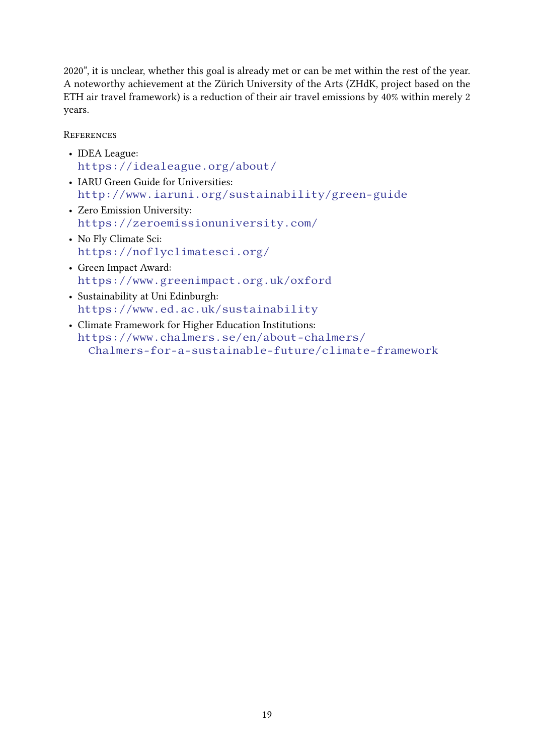2020", it is unclear, whether this goal is already met or can be met within the rest of the year. A noteworthy achievement at the Zürich University of the Arts (ZHdK, project based on the ETH air travel framework) is a reduction of their air travel emissions by 40% within merely 2 years.

**REFERENCES** 

- IDEA League: <https://idealeague.org/about/>
- IARU Green Guide for Universities: <http://www.iaruni.org/sustainability/green-guide>
- Zero Emission University: <https://zeroemissionuniversity.com/>
- No Fly Climate Sci: <https://noflyclimatesci.org/>
- Green Impact Award: <https://www.greenimpact.org.uk/oxford>
- Sustainability at Uni Edinburgh: <https://www.ed.ac.uk/sustainability>
- Climate Framework for Higher Education Institutions: [https://www.chalmers.se/en/about-chalmers/](https://www.chalmers.se/en/about-chalmers/Chalmers-for-a-sustainable-future/climate-framework) [Chalmers-for-a-sustainable-future/climate-framework](https://www.chalmers.se/en/about-chalmers/Chalmers-for-a-sustainable-future/climate-framework)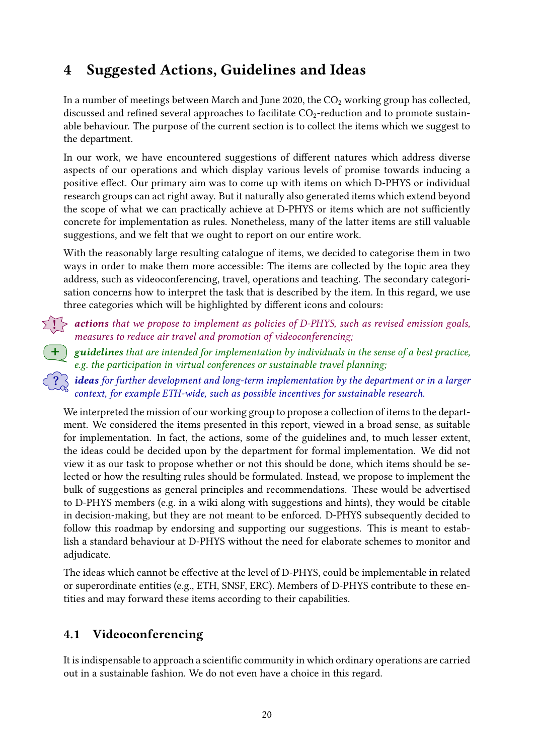# <span id="page-19-0"></span>4 Suggested Actions, Guidelines and Ideas

In a number of meetings between March and June 2020, the  $CO<sub>2</sub>$  working group has collected, discussed and refined several approaches to facilitate  $CO_2$ -reduction and to promote sustainable behaviour. The purpose of the current section is to collect the items which we suggest to the department.

In our work, we have encountered suggestions of different natures which address diverse aspects of our operations and which display various levels of promise towards inducing a positive effect. Our primary aim was to come up with items on which D-PHYS or individual research groups can act right away. But it naturally also generated items which extend beyond the scope of what we can practically achieve at D-PHYS or items which are not sufficiently concrete for implementation as rules. Nonetheless, many of the latter items are still valuable suggestions, and we felt that we ought to report on our entire work.

With the reasonably large resulting catalogue of items, we decided to categorise them in two ways in order to make them more accessible: The items are collected by the topic area they address, such as videoconferencing, travel, operations and teaching. The secondary categorisation concerns how to interpret the task that is described by the item. In this regard, we use three categories which will be highlighted by different icons and colours:

 $\sum_{i=1}^{n}$  actions that we propose to implement as policies of D-PHYS, such as revised emission goals, measures to reduce air travel and promotion of videoconferencing;

 $\, \big\{$  guidelines that are intended for implementation by individuals in the sense of a best practice, e.g. the participation in virtual conferences or sustainable travel planning;

 $\lceil ? \rceil$  ideas for further development and long-term implementation by the department or in a larger context, for example ETH-wide, such as possible incentives for sustainable research.

We interpreted the mission of our working group to propose a collection of items to the department. We considered the items presented in this report, viewed in a broad sense, as suitable for implementation. In fact, the actions, some of the guidelines and, to much lesser extent, the ideas could be decided upon by the department for formal implementation. We did not view it as our task to propose whether or not this should be done, which items should be selected or how the resulting rules should be formulated. Instead, we propose to implement the bulk of suggestions as general principles and recommendations. These would be advertised to D-PHYS members (e.g. in a wiki along with suggestions and hints), they would be citable in decision-making, but they are not meant to be enforced. D-PHYS subsequently decided to follow this roadmap by endorsing and supporting our suggestions. This is meant to establish a standard behaviour at D-PHYS without the need for elaborate schemes to monitor and adjudicate.

The ideas which cannot be effective at the level of D-PHYS, could be implementable in related or superordinate entities (e.g., ETH, SNSF, ERC). Members of D-PHYS contribute to these entities and may forward these items according to their capabilities.

## <span id="page-19-1"></span>4.1 Videoconferencing

It is indispensable to approach a scientific community in which ordinary operations are carried out in a sustainable fashion. We do not even have a choice in this regard.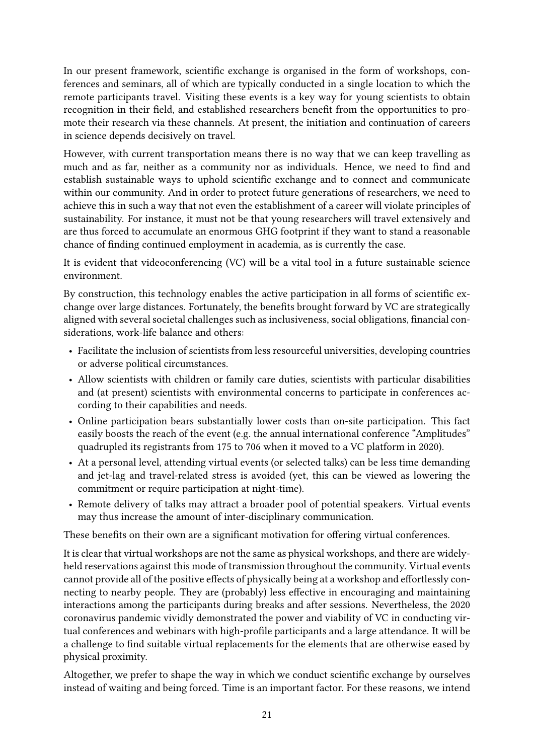In our present framework, scientific exchange is organised in the form of workshops, conferences and seminars, all of which are typically conducted in a single location to which the remote participants travel. Visiting these events is a key way for young scientists to obtain recognition in their field, and established researchers benefit from the opportunities to promote their research via these channels. At present, the initiation and continuation of careers in science depends decisively on travel.

However, with current transportation means there is no way that we can keep travelling as much and as far, neither as a community nor as individuals. Hence, we need to find and establish sustainable ways to uphold scientific exchange and to connect and communicate within our community. And in order to protect future generations of researchers, we need to achieve this in such a way that not even the establishment of a career will violate principles of sustainability. For instance, it must not be that young researchers will travel extensively and are thus forced to accumulate an enormous GHG footprint if they want to stand a reasonable chance of finding continued employment in academia, as is currently the case.

It is evident that videoconferencing (VC) will be a vital tool in a future sustainable science environment.

By construction, this technology enables the active participation in all forms of scientific exchange over large distances. Fortunately, the benefits brought forward by VC are strategically aligned with several societal challenges such as inclusiveness, social obligations, financial considerations, work-life balance and others:

- Facilitate the inclusion of scientists from less resourceful universities, developing countries or adverse political circumstances.
- Allow scientists with children or family care duties, scientists with particular disabilities and (at present) scientists with environmental concerns to participate in conferences according to their capabilities and needs.
- Online participation bears substantially lower costs than on-site participation. This fact easily boosts the reach of the event (e.g. the annual international conference "Amplitudes" quadrupled its registrants from 175 to 706 when it moved to a VC platform in 2020).
- At a personal level, attending virtual events (or selected talks) can be less time demanding and jet-lag and travel-related stress is avoided (yet, this can be viewed as lowering the commitment or require participation at night-time).
- Remote delivery of talks may attract a broader pool of potential speakers. Virtual events may thus increase the amount of inter-disciplinary communication.

These benefits on their own are a significant motivation for offering virtual conferences.

It is clear that virtual workshops are not the same as physical workshops, and there are widelyheld reservations against this mode of transmission throughout the community. Virtual events cannot provide all of the positive effects of physically being at a workshop and effortlessly connecting to nearby people. They are (probably) less effective in encouraging and maintaining interactions among the participants during breaks and after sessions. Nevertheless, the 2020 coronavirus pandemic vividly demonstrated the power and viability of VC in conducting virtual conferences and webinars with high-profile participants and a large attendance. It will be a challenge to find suitable virtual replacements for the elements that are otherwise eased by physical proximity.

Altogether, we prefer to shape the way in which we conduct scientific exchange by ourselves instead of waiting and being forced. Time is an important factor. For these reasons, we intend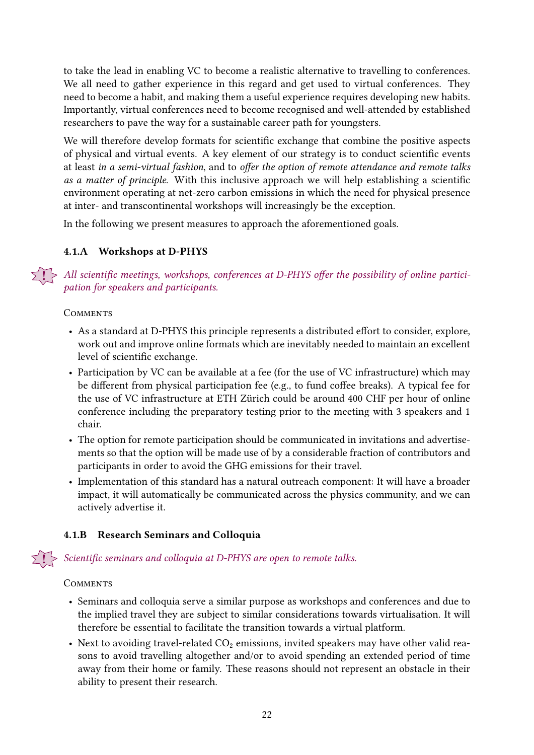to take the lead in enabling VC to become a realistic alternative to travelling to conferences. We all need to gather experience in this regard and get used to virtual conferences. They need to become a habit, and making them a useful experience requires developing new habits. Importantly, virtual conferences need to become recognised and well-attended by established researchers to pave the way for a sustainable career path for youngsters.

We will therefore develop formats for scientific exchange that combine the positive aspects of physical and virtual events. A key element of our strategy is to conduct scientific events at least in a semi-virtual fashion, and to offer the option of remote attendance and remote talks as a matter of principle. With this inclusive approach we will help establishing a scientific environment operating at net-zero carbon emissions in which the need for physical presence at inter- and transcontinental workshops will increasingly be the exception.

In the following we present measures to approach the aforementioned goals.

## <span id="page-21-0"></span>4.1.A Workshops at D-PHYS

 $\sum_{i=1}^{n}$  All scientific meetings, workshops, conferences at D-PHYS offer the possibility of online participation for speakers and participants.

#### **COMMENTS**

- As a standard at D-PHYS this principle represents a distributed effort to consider, explore, work out and improve online formats which are inevitably needed to maintain an excellent level of scientific exchange.
- Participation by VC can be available at a fee (for the use of VC infrastructure) which may be different from physical participation fee (e.g., to fund coffee breaks). A typical fee for the use of VC infrastructure at ETH Zürich could be around 400 CHF per hour of online conference including the preparatory testing prior to the meeting with 3 speakers and 1 chair.
- The option for remote participation should be communicated in invitations and advertisements so that the option will be made use of by a considerable fraction of contributors and participants in order to avoid the GHG emissions for their travel.
- Implementation of this standard has a natural outreach component: It will have a broader impact, it will automatically be communicated across the physics community, and we can actively advertise it.

## <span id="page-21-1"></span>4.1.B Research Seminars and Colloquia

 $\leq 1$   $>$  Scientific seminars and colloquia at D-PHYS are open to remote talks.

- Seminars and colloquia serve a similar purpose as workshops and conferences and due to the implied travel they are subject to similar considerations towards virtualisation. It will therefore be essential to facilitate the transition towards a virtual platform.
- Next to avoiding travel-related  $CO<sub>2</sub>$  emissions, invited speakers may have other valid reasons to avoid travelling altogether and/or to avoid spending an extended period of time away from their home or family. These reasons should not represent an obstacle in their ability to present their research.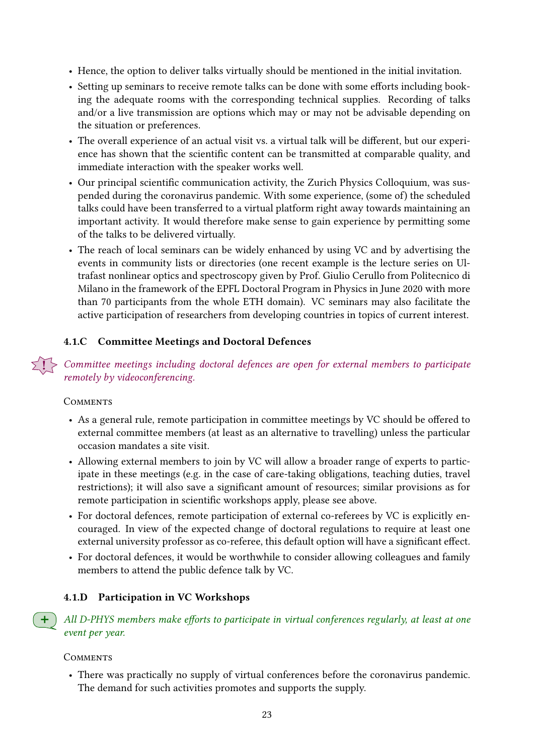- Hence, the option to deliver talks virtually should be mentioned in the initial invitation.
- Setting up seminars to receive remote talks can be done with some efforts including booking the adequate rooms with the corresponding technical supplies. Recording of talks and/or a live transmission are options which may or may not be advisable depending on the situation or preferences.
- The overall experience of an actual visit vs. a virtual talk will be different, but our experience has shown that the scientific content can be transmitted at comparable quality, and immediate interaction with the speaker works well.
- Our principal scientific communication activity, the Zurich Physics Colloquium, was suspended during the coronavirus pandemic. With some experience, (some of) the scheduled talks could have been transferred to a virtual platform right away towards maintaining an important activity. It would therefore make sense to gain experience by permitting some of the talks to be delivered virtually.
- The reach of local seminars can be widely enhanced by using VC and by advertising the events in community lists or directories (one recent example is the lecture series on Ultrafast nonlinear optics and spectroscopy given by Prof. Giulio Cerullo from Politecnico di Milano in the framework of the EPFL Doctoral Program in Physics in June 2020 with more than 70 participants from the whole ETH domain). VC seminars may also facilitate the active participation of researchers from developing countries in topics of current interest.

## <span id="page-22-0"></span>4.1.C Committee Meetings and Doctoral Defences

! Committee meetings including doctoral defences are open for external members to participate remotely by videoconferencing.

#### **COMMENTS**

- As a general rule, remote participation in committee meetings by VC should be offered to external committee members (at least as an alternative to travelling) unless the particular occasion mandates a site visit.
- Allowing external members to join by VC will allow a broader range of experts to participate in these meetings (e.g. in the case of care-taking obligations, teaching duties, travel restrictions); it will also save a significant amount of resources; similar provisions as for remote participation in scientific workshops apply, please see above.
- For doctoral defences, remote participation of external co-referees by VC is explicitly encouraged. In view of the expected change of doctoral regulations to require at least one external university professor as co-referee, this default option will have a significant effect.
- For doctoral defences, it would be worthwhile to consider allowing colleagues and family members to attend the public defence talk by VC.

## 4.1.D Participation in VC Workshops

All D-PHYS members make efforts to participate in virtual conferences regularly, at least at one event per year.

#### **COMMENTS**

• There was practically no supply of virtual conferences before the coronavirus pandemic. The demand for such activities promotes and supports the supply.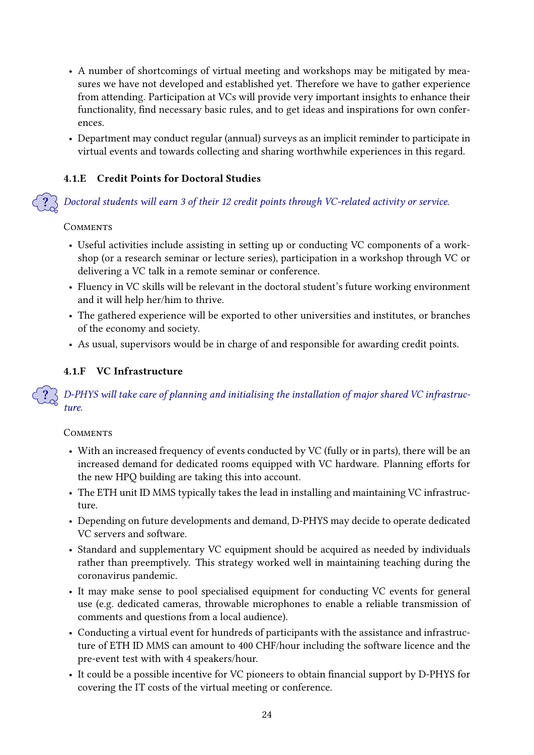- A number of shortcomings of virtual meeting and workshops may be mitigated by measures we have not developed and established yet. Therefore we have to gather experience from attending. Participation at VCs will provide very important insights to enhance their functionality, find necessary basic rules, and to get ideas and inspirations for own conferences.
- Department may conduct regular (annual) surveys as an implicit reminder to participate in virtual events and towards collecting and sharing worthwhile experiences in this regard.

## 4.1.E Credit Points for Doctoral Studies

? Doctoral students will earn 3 of their 12 credit points through VC-related activity or service.

## **COMMENTS**

- Useful activities include assisting in setting up or conducting VC components of a workshop (or a research seminar or lecture series), participation in a workshop through VC or delivering a VC talk in a remote seminar or conference.
- Fluency in VC skills will be relevant in the doctoral student's future working environment and it will help her/him to thrive.
- The gathered experience will be exported to other universities and institutes, or branches of the economy and society.
- As usual, supervisors would be in charge of and responsible for awarding credit points.

## 4.1.F VC Infrastructure

 $\ket{?}$  D-PHYS will take care of planning and initialising the installation of major shared VC infrastructure.

- With an increased frequency of events conducted by VC (fully or in parts), there will be an increased demand for dedicated rooms equipped with VC hardware. Planning efforts for the new HPQ building are taking this into account.
- The ETH unit ID MMS typically takes the lead in installing and maintaining VC infrastructure.
- Depending on future developments and demand, D-PHYS may decide to operate dedicated VC servers and software.
- Standard and supplementary VC equipment should be acquired as needed by individuals rather than preemptively. This strategy worked well in maintaining teaching during the coronavirus pandemic.
- It may make sense to pool specialised equipment for conducting VC events for general use (e.g. dedicated cameras, throwable microphones to enable a reliable transmission of comments and questions from a local audience).
- Conducting a virtual event for hundreds of participants with the assistance and infrastructure of ETH ID MMS can amount to 400 CHF/hour including the software licence and the pre-event test with with 4 speakers/hour.
- It could be a possible incentive for VC pioneers to obtain financial support by D-PHYS for covering the IT costs of the virtual meeting or conference.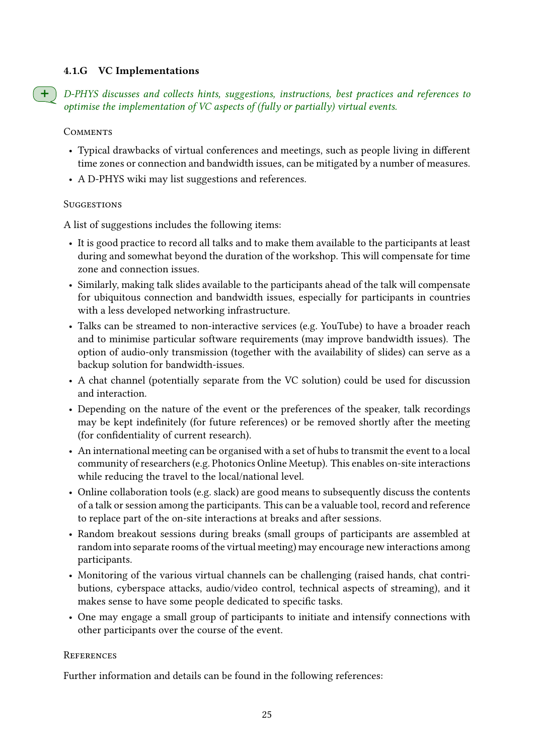#### 4.1.G VC Implementations

+ D-PHYS discusses and collects hints, suggestions, instructions, best practices and references to optimise the implementation of VC aspects of (fully or partially) virtual events.

**COMMENTS** 

- Typical drawbacks of virtual conferences and meetings, such as people living in different time zones or connection and bandwidth issues, can be mitigated by a number of measures.
- A D-PHYS wiki may list suggestions and references.

#### **SUGGESTIONS**

A list of suggestions includes the following items:

- It is good practice to record all talks and to make them available to the participants at least during and somewhat beyond the duration of the workshop. This will compensate for time zone and connection issues.
- Similarly, making talk slides available to the participants ahead of the talk will compensate for ubiquitous connection and bandwidth issues, especially for participants in countries with a less developed networking infrastructure.
- Talks can be streamed to non-interactive services (e.g. YouTube) to have a broader reach and to minimise particular software requirements (may improve bandwidth issues). The option of audio-only transmission (together with the availability of slides) can serve as a backup solution for bandwidth-issues.
- A chat channel (potentially separate from the VC solution) could be used for discussion and interaction.
- Depending on the nature of the event or the preferences of the speaker, talk recordings may be kept indefinitely (for future references) or be removed shortly after the meeting (for confidentiality of current research).
- An international meeting can be organised with a set of hubs to transmit the event to a local community of researchers (e.g. Photonics Online Meetup). This enables on-site interactions while reducing the travel to the local/national level.
- Online collaboration tools (e.g. slack) are good means to subsequently discuss the contents of a talk or session among the participants. This can be a valuable tool, record and reference to replace part of the on-site interactions at breaks and after sessions.
- Random breakout sessions during breaks (small groups of participants are assembled at random into separate rooms of the virtual meeting) may encourage new interactions among participants.
- Monitoring of the various virtual channels can be challenging (raised hands, chat contributions, cyberspace attacks, audio/video control, technical aspects of streaming), and it makes sense to have some people dedicated to specific tasks.
- One may engage a small group of participants to initiate and intensify connections with other participants over the course of the event.

#### **REFERENCES**

Further information and details can be found in the following references: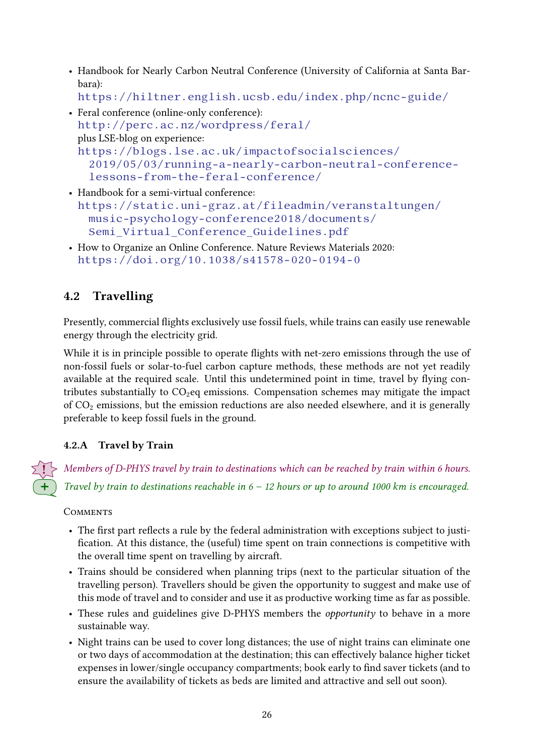• Handbook for Nearly Carbon Neutral Conference (University of California at Santa Barbara):

```
https://hiltner.english.ucsb.edu/index.php/ncnc-guide/
```
- Feral conference (online-only conference): <http://perc.ac.nz/wordpress/feral/> plus LSE-blog on experience: [https://blogs.lse.ac.uk/impactofsocialsciences/](https://blogs.lse.ac.uk/impactofsocialsciences/2019/05/03/running-a-nearly-carbon-neutral-conference-lessons-from-the-feral-conference/) [2019/05/03/running-a-nearly-carbon-neutral-conference](https://blogs.lse.ac.uk/impactofsocialsciences/2019/05/03/running-a-nearly-carbon-neutral-conference-lessons-from-the-feral-conference/)[lessons-from-the-feral-conference/](https://blogs.lse.ac.uk/impactofsocialsciences/2019/05/03/running-a-nearly-carbon-neutral-conference-lessons-from-the-feral-conference/)
- Handbook for a semi-virtual conference: [https://static.uni-graz.at/fileadmin/veranstaltungen/](https://static.uni-graz.at/fileadmin/veranstaltungen/music-psychology-conference2018/documents/Semi_Virtual_Conference_Guidelines.pdf) [music-psychology-conference2018/documents/](https://static.uni-graz.at/fileadmin/veranstaltungen/music-psychology-conference2018/documents/Semi_Virtual_Conference_Guidelines.pdf) [Semi\\_Virtual\\_Conference\\_Guidelines.pdf](https://static.uni-graz.at/fileadmin/veranstaltungen/music-psychology-conference2018/documents/Semi_Virtual_Conference_Guidelines.pdf)
- How to Organize an Online Conference. Nature Reviews Materials 2020: <https://doi.org/10.1038/s41578-020-0194-0>

## <span id="page-25-1"></span>4.2 Travelling

Presently, commercial flights exclusively use fossil fuels, while trains can easily use renewable energy through the electricity grid.

While it is in principle possible to operate flights with net-zero emissions through the use of non-fossil fuels or solar-to-fuel carbon capture methods, these methods are not yet readily available at the required scale. Until this undetermined point in time, travel by flying contributes substantially to  $CO<sub>2</sub>$ eq emissions. Compensation schemes may mitigate the impact of  $CO<sub>2</sub>$  emissions, but the emission reductions are also needed elsewhere, and it is generally preferable to keep fossil fuels in the ground.

## <span id="page-25-0"></span>4.2.A Travel by Train

! Members of D-PHYS travel by train to destinations which can be reached by train within 6 hours. Travel by train to destinations reachable in  $6 - 12$  hours or up to around 1000 km is encouraged.

- The first part reflects a rule by the federal administration with exceptions subject to justification. At this distance, the (useful) time spent on train connections is competitive with the overall time spent on travelling by aircraft.
- Trains should be considered when planning trips (next to the particular situation of the travelling person). Travellers should be given the opportunity to suggest and make use of this mode of travel and to consider and use it as productive working time as far as possible.
- These rules and guidelines give D-PHYS members the *opportunity* to behave in a more sustainable way.
- Night trains can be used to cover long distances; the use of night trains can eliminate one or two days of accommodation at the destination; this can effectively balance higher ticket expenses in lower/single occupancy compartments; book early to find saver tickets (and to ensure the availability of tickets as beds are limited and attractive and sell out soon).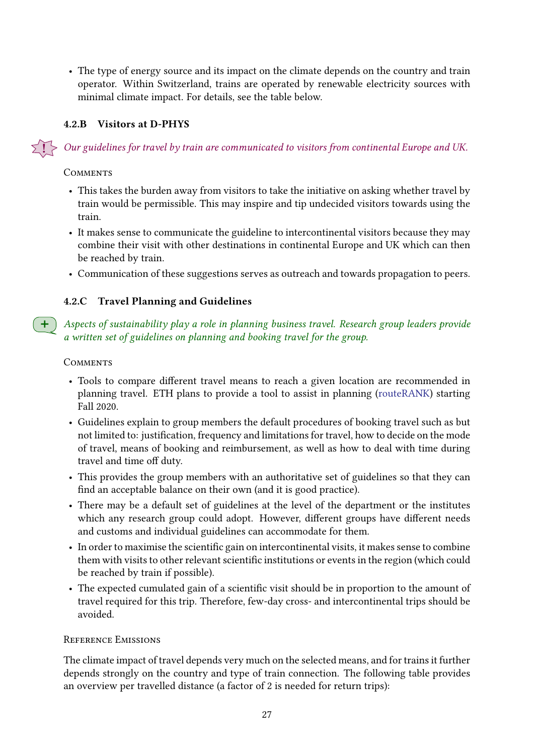• The type of energy source and its impact on the climate depends on the country and train operator. Within Switzerland, trains are operated by renewable electricity sources with minimal climate impact. For details, see the table below.

## <span id="page-26-0"></span>4.2.B Visitors at D-PHYS

! Our guidelines for travel by train are communicated to visitors from continental Europe and UK.

#### **COMMENTS**

- This takes the burden away from visitors to take the initiative on asking whether travel by train would be permissible. This may inspire and tip undecided visitors towards using the train.
- It makes sense to communicate the guideline to intercontinental visitors because they may combine their visit with other destinations in continental Europe and UK which can then be reached by train.
- Communication of these suggestions serves as outreach and towards propagation to peers.

## 4.2.C Travel Planning and Guidelines

Aspects of sustainability play a role in planning business travel. Research group leaders provide a written set of guidelines on planning and booking travel for the group.

#### **COMMENTS**

- Tools to compare different travel means to reach a given location are recommended in planning travel. ETH plans to provide a tool to assist in planning [\(routeRANK\)](https://www.routerank.com/en/) starting Fall 2020.
- Guidelines explain to group members the default procedures of booking travel such as but not limited to: justification, frequency and limitations for travel, how to decide on the mode of travel, means of booking and reimbursement, as well as how to deal with time during travel and time off duty.
- This provides the group members with an authoritative set of guidelines so that they can find an acceptable balance on their own (and it is good practice).
- There may be a default set of guidelines at the level of the department or the institutes which any research group could adopt. However, different groups have different needs and customs and individual guidelines can accommodate for them.
- In order to maximise the scientific gain on intercontinental visits, it makes sense to combine them with visits to other relevant scientific institutions or events in the region (which could be reached by train if possible).
- The expected cumulated gain of a scientific visit should be in proportion to the amount of travel required for this trip. Therefore, few-day cross- and intercontinental trips should be avoided.

## Reference Emissions

The climate impact of travel depends very much on the selected means, and for trains it further depends strongly on the country and type of train connection. The following table provides an overview per travelled distance (a factor of 2 is needed for return trips):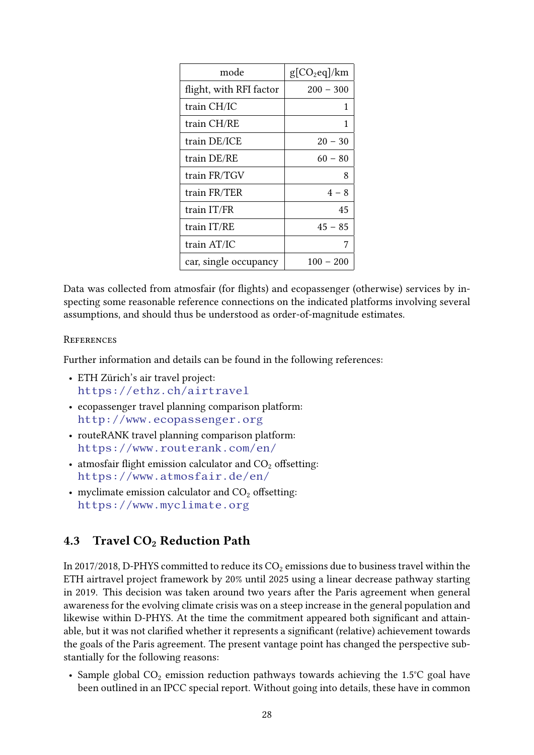| mode                    | $g[CO_2$ eq]/km |
|-------------------------|-----------------|
| flight, with RFI factor | $200 - 300$     |
| train CH/IC             | 1               |
| train CH/RE             | 1               |
| train DE/ICE            | $20 - 30$       |
| train DE/RE             | $60 - 80$       |
| train FR/TGV            | 8               |
| train FR/TER            | $4 - 8$         |
| train IT/FR             | 45              |
| train IT/RE             | $45 - 85$       |
| train AT/IC             | 7               |
| car, single occupancy   | $100 - 200$     |

Data was collected from atmosfair (for flights) and ecopassenger (otherwise) services by inspecting some reasonable reference connections on the indicated platforms involving several assumptions, and should thus be understood as order-of-magnitude estimates.

#### **REFERENCES**

Further information and details can be found in the following references:

- ETH Zürich's air travel project: <https://ethz.ch/airtravel>
- ecopassenger travel planning comparison platform: <http://www.ecopassenger.org>
- routeRANK travel planning comparison platform: <https://www.routerank.com/en/>
- atmosfair flight emission calculator and  $CO<sub>2</sub>$  offsetting: <https://www.atmosfair.de/en/>
- myclimate emission calculator and  $CO<sub>2</sub>$  offsetting: <https://www.myclimate.org>

## <span id="page-27-0"></span>4.3 Travel CO<sub>2</sub> Reduction Path

In 2017/2018, D-PHYS committed to reduce its  $CO<sub>2</sub>$  emissions due to business travel within the ETH airtravel project framework by 20% until 2025 using a linear decrease pathway starting in 2019. This decision was taken around two years after the Paris agreement when general awareness for the evolving climate crisis was on a steep increase in the general population and likewise within D-PHYS. At the time the commitment appeared both significant and attainable, but it was not clarified whether it represents a significant (relative) achievement towards the goals of the Paris agreement. The present vantage point has changed the perspective substantially for the following reasons:

• Sample global  $CO<sub>2</sub>$  emission reduction pathways towards achieving the 1.5°C goal have been outlined in an IPCC special report. Without going into details, these have in common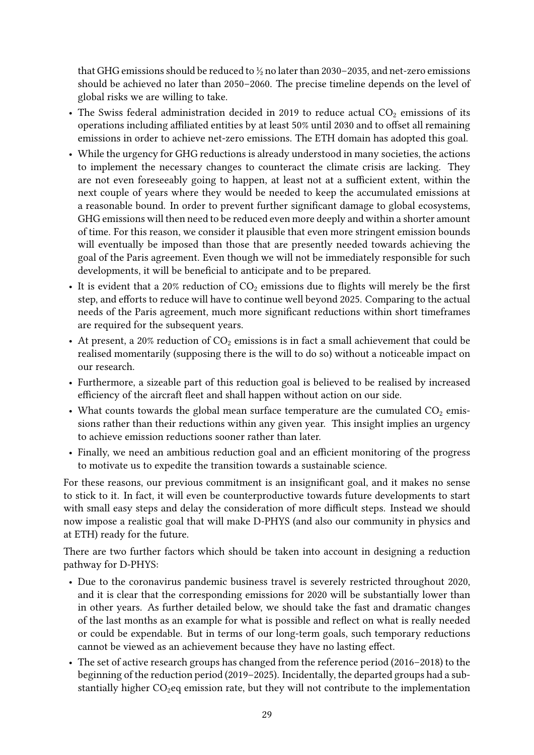that GHG emissions should be reduced to  $\frac{1}{2}$  no later than 2030–2035, and net-zero emissions should be achieved no later than 2050–2060. The precise timeline depends on the level of global risks we are willing to take.

- The Swiss federal administration decided in 2019 to reduce actual  $CO<sub>2</sub>$  emissions of its operations including affiliated entities by at least 50% until 2030 and to offset all remaining emissions in order to achieve net-zero emissions. The ETH domain has adopted this goal.
- While the urgency for GHG reductions is already understood in many societies, the actions to implement the necessary changes to counteract the climate crisis are lacking. They are not even foreseeably going to happen, at least not at a sufficient extent, within the next couple of years where they would be needed to keep the accumulated emissions at a reasonable bound. In order to prevent further significant damage to global ecosystems, GHG emissions will then need to be reduced even more deeply and within a shorter amount of time. For this reason, we consider it plausible that even more stringent emission bounds will eventually be imposed than those that are presently needed towards achieving the goal of the Paris agreement. Even though we will not be immediately responsible for such developments, it will be beneficial to anticipate and to be prepared.
- It is evident that a 20% reduction of  $CO<sub>2</sub>$  emissions due to flights will merely be the first step, and efforts to reduce will have to continue well beyond 2025. Comparing to the actual needs of the Paris agreement, much more significant reductions within short timeframes are required for the subsequent years.
- At present, a 20% reduction of  $CO<sub>2</sub>$  emissions is in fact a small achievement that could be realised momentarily (supposing there is the will to do so) without a noticeable impact on our research.
- Furthermore, a sizeable part of this reduction goal is believed to be realised by increased efficiency of the aircraft fleet and shall happen without action on our side.
- What counts towards the global mean surface temperature are the cumulated  $CO<sub>2</sub>$  emissions rather than their reductions within any given year. This insight implies an urgency to achieve emission reductions sooner rather than later.
- Finally, we need an ambitious reduction goal and an efficient monitoring of the progress to motivate us to expedite the transition towards a sustainable science.

For these reasons, our previous commitment is an insignificant goal, and it makes no sense to stick to it. In fact, it will even be counterproductive towards future developments to start with small easy steps and delay the consideration of more difficult steps. Instead we should now impose a realistic goal that will make D-PHYS (and also our community in physics and at ETH) ready for the future.

There are two further factors which should be taken into account in designing a reduction pathway for D-PHYS:

- Due to the coronavirus pandemic business travel is severely restricted throughout 2020, and it is clear that the corresponding emissions for 2020 will be substantially lower than in other years. As further detailed below, we should take the fast and dramatic changes of the last months as an example for what is possible and reflect on what is really needed or could be expendable. But in terms of our long-term goals, such temporary reductions cannot be viewed as an achievement because they have no lasting effect.
- The set of active research groups has changed from the reference period (2016–2018) to the beginning of the reduction period (2019–2025). Incidentally, the departed groups had a substantially higher  $CO<sub>2</sub>$ eq emission rate, but they will not contribute to the implementation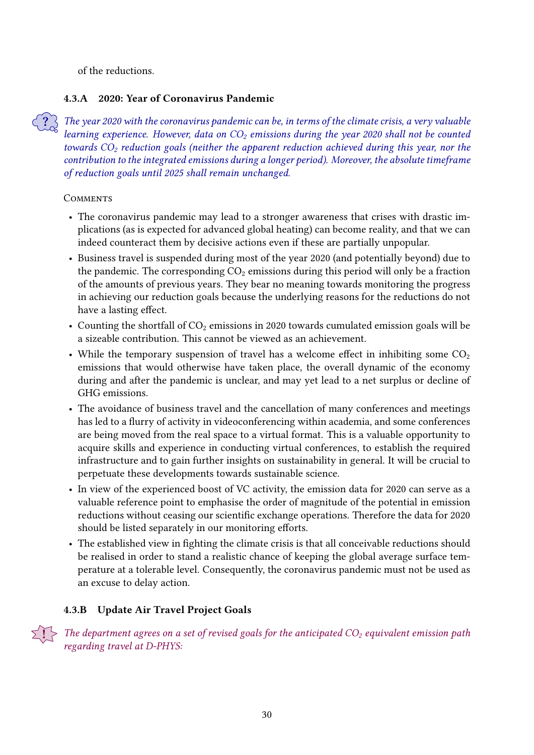of the reductions.

## 4.3.A 2020: Year of Coronavirus Pandemic

The year 2020 with the coronavirus pandemic can be, in terms of the climate crisis, a very valuable learning experience. However, data on  $CO<sub>2</sub>$  emissions during the year 2020 shall not be counted towards  $CO<sub>2</sub>$  reduction goals (neither the apparent reduction achieved during this year, nor the contribution to the integrated emissions during a longer period). Moreover, the absolute timeframe of reduction goals until 2025 shall remain unchanged.

#### **COMMENTS**

- The coronavirus pandemic may lead to a stronger awareness that crises with drastic implications (as is expected for advanced global heating) can become reality, and that we can indeed counteract them by decisive actions even if these are partially unpopular.
- Business travel is suspended during most of the year 2020 (and potentially beyond) due to the pandemic. The corresponding  $CO<sub>2</sub>$  emissions during this period will only be a fraction of the amounts of previous years. They bear no meaning towards monitoring the progress in achieving our reduction goals because the underlying reasons for the reductions do not have a lasting effect.
- Counting the shortfall of  $CO<sub>2</sub>$  emissions in 2020 towards cumulated emission goals will be a sizeable contribution. This cannot be viewed as an achievement.
- While the temporary suspension of travel has a welcome effect in inhibiting some  $CO<sub>2</sub>$ emissions that would otherwise have taken place, the overall dynamic of the economy during and after the pandemic is unclear, and may yet lead to a net surplus or decline of GHG emissions.
- The avoidance of business travel and the cancellation of many conferences and meetings has led to a flurry of activity in videoconferencing within academia, and some conferences are being moved from the real space to a virtual format. This is a valuable opportunity to acquire skills and experience in conducting virtual conferences, to establish the required infrastructure and to gain further insights on sustainability in general. It will be crucial to perpetuate these developments towards sustainable science.
- In view of the experienced boost of VC activity, the emission data for 2020 can serve as a valuable reference point to emphasise the order of magnitude of the potential in emission reductions without ceasing our scientific exchange operations. Therefore the data for 2020 should be listed separately in our monitoring efforts.
- The established view in fighting the climate crisis is that all conceivable reductions should be realised in order to stand a realistic chance of keeping the global average surface temperature at a tolerable level. Consequently, the coronavirus pandemic must not be used as an excuse to delay action.

## <span id="page-29-0"></span>4.3.B Update Air Travel Project Goals

 $\cdot$  The department agrees on a set of revised goals for the anticipated CO $_2$  equivalent emission path regarding travel at D-PHYS: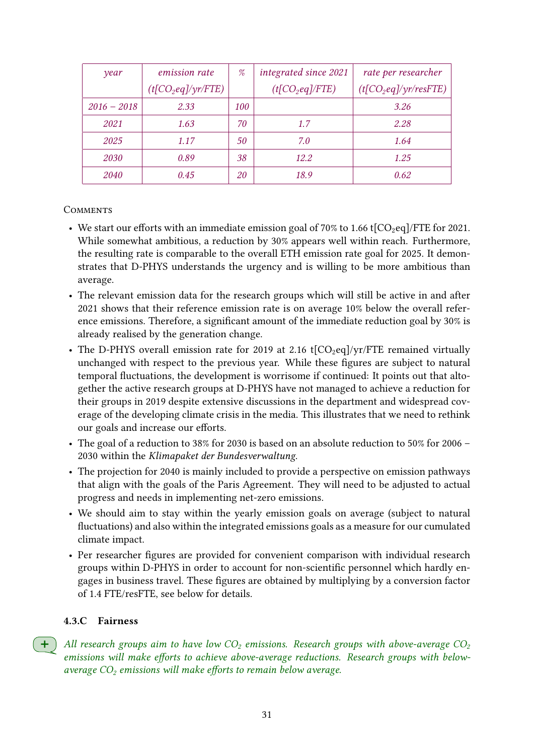| year          | <i>emission rate</i>  | $\%$       | integrated since 2021 | rate per researcher      |
|---------------|-----------------------|------------|-----------------------|--------------------------|
|               | $(t[CO_2 eq]/yr/FTE)$ |            | $(t[CO_2 eq]/FTE)$    | $(t[CO_2 eq]/yr/resFTE)$ |
| $2016 - 2018$ | 2.33                  | <i>100</i> |                       | 3.26                     |
| 2021          | 1.63                  | 70         | 1.7                   | 2.28                     |
| 2025          | 1.17                  | 50         | 7.0                   | 1.64                     |
| 2030          | 0.89                  | 38         | 12.2                  | 1.25                     |
| 2040          | 0.45                  | 20         | 18.9                  | 0.62                     |

#### **COMMENTS**

- We start our efforts with an immediate emission goal of 70% to 1.66 t[ $CO<sub>2</sub>eq$ ]/FTE for 2021. While somewhat ambitious, a reduction by 30% appears well within reach. Furthermore, the resulting rate is comparable to the overall ETH emission rate goal for 2025. It demonstrates that D-PHYS understands the urgency and is willing to be more ambitious than average.
- The relevant emission data for the research groups which will still be active in and after 2021 shows that their reference emission rate is on average 10% below the overall reference emissions. Therefore, a significant amount of the immediate reduction goal by 30% is already realised by the generation change.
- The D-PHYS overall emission rate for 2019 at 2.16 t[ $CO<sub>2</sub>eq$ ]/yr/FTE remained virtually unchanged with respect to the previous year. While these figures are subject to natural temporal fluctuations, the development is worrisome if continued: It points out that altogether the active research groups at D-PHYS have not managed to achieve a reduction for their groups in 2019 despite extensive discussions in the department and widespread coverage of the developing climate crisis in the media. This illustrates that we need to rethink our goals and increase our efforts.
- The goal of a reduction to 38% for 2030 is based on an absolute reduction to 50% for 2006 2030 within the Klimapaket der Bundesverwaltung.
- The projection for 2040 is mainly included to provide a perspective on emission pathways that align with the goals of the Paris Agreement. They will need to be adjusted to actual progress and needs in implementing net-zero emissions.
- We should aim to stay within the yearly emission goals on average (subject to natural fluctuations) and also within the integrated emissions goals as a measure for our cumulated climate impact.
- Per researcher figures are provided for convenient comparison with individual research groups within D-PHYS in order to account for non-scientific personnel which hardly engages in business travel. These figures are obtained by multiplying by a conversion factor of 1.4 FTE/resFTE, see below for details.

#### 4.3.C Fairness

All research groups aim to have low  $CO<sub>2</sub>$  emissions. Research groups with above-average  $CO<sub>2</sub>$ emissions will make efforts to achieve above-average reductions. Research groups with belowaverage  $CO<sub>2</sub>$  emissions will make efforts to remain below average.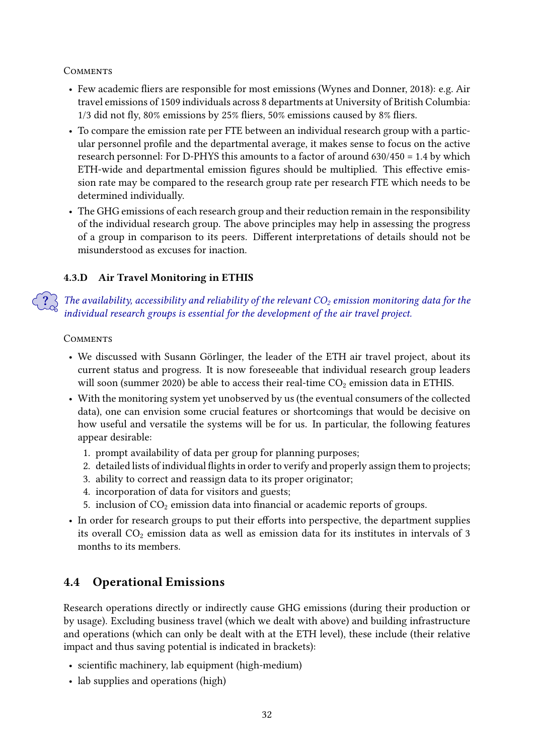**COMMENTS** 

- Few academic fliers are responsible for most emissions (Wynes and Donner, 2018): e.g. Air travel emissions of 1509 individuals across 8 departments at University of British Columbia:  $1/3$  did not fly,  $80\%$  emissions by  $25\%$  fliers,  $50\%$  emissions caused by  $8\%$  fliers.
- To compare the emission rate per FTE between an individual research group with a particular personnel profile and the departmental average, it makes sense to focus on the active research personnel: For D-PHYS this amounts to a factor of around 630/450 = 1.4 by which ETH-wide and departmental emission figures should be multiplied. This effective emission rate may be compared to the research group rate per research FTE which needs to be determined individually.
- The GHG emissions of each research group and their reduction remain in the responsibility of the individual research group. The above principles may help in assessing the progress of a group in comparison to its peers. Different interpretations of details should not be misunderstood as excuses for inaction.

## 4.3.D Air Travel Monitoring in ETHIS

The availability, accessibility and reliability of the relevant  $CO<sub>2</sub>$  emission monitoring data for the individual research groups is essential for the development of the air travel project.

## **COMMENTS**

- We discussed with Susann Görlinger, the leader of the ETH air travel project, about its current status and progress. It is now foreseeable that individual research group leaders will soon (summer 2020) be able to access their real-time  $CO<sub>2</sub>$  emission data in ETHIS.
- With the monitoring system yet unobserved by us (the eventual consumers of the collected data), one can envision some crucial features or shortcomings that would be decisive on how useful and versatile the systems will be for us. In particular, the following features appear desirable:
	- 1. prompt availability of data per group for planning purposes;
	- 2. detailed lists of individual flights in order to verify and properly assign them to projects;
	- 3. ability to correct and reassign data to its proper originator;
	- 4. incorporation of data for visitors and guests;
	- 5. inclusion of  $CO<sub>2</sub>$  emission data into financial or academic reports of groups.
- In order for research groups to put their efforts into perspective, the department supplies its overall  $CO<sub>2</sub>$  emission data as well as emission data for its institutes in intervals of 3 months to its members.

## <span id="page-31-0"></span>4.4 Operational Emissions

Research operations directly or indirectly cause GHG emissions (during their production or by usage). Excluding business travel (which we dealt with above) and building infrastructure and operations (which can only be dealt with at the ETH level), these include (their relative impact and thus saving potential is indicated in brackets):

- scientific machinery, lab equipment (high-medium)
- lab supplies and operations (high)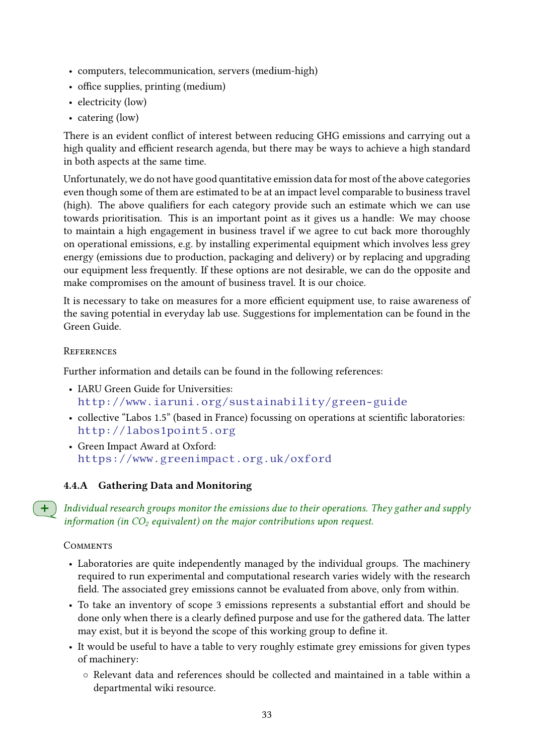- computers, telecommunication, servers (medium-high)
- office supplies, printing (medium)
- electricity (low)
- catering (low)

There is an evident conflict of interest between reducing GHG emissions and carrying out a high quality and efficient research agenda, but there may be ways to achieve a high standard in both aspects at the same time.

Unfortunately, we do not have good quantitative emission data for most of the above categories even though some of them are estimated to be at an impact level comparable to business travel (high). The above qualifiers for each category provide such an estimate which we can use towards prioritisation. This is an important point as it gives us a handle: We may choose to maintain a high engagement in business travel if we agree to cut back more thoroughly on operational emissions, e.g. by installing experimental equipment which involves less grey energy (emissions due to production, packaging and delivery) or by replacing and upgrading our equipment less frequently. If these options are not desirable, we can do the opposite and make compromises on the amount of business travel. It is our choice.

It is necessary to take on measures for a more efficient equipment use, to raise awareness of the saving potential in everyday lab use. Suggestions for implementation can be found in the Green Guide.

#### **REFERENCES**

Further information and details can be found in the following references:

- IARU Green Guide for Universities: <http://www.iaruni.org/sustainability/green-guide>
- collective "Labos 1.5" (based in France) focussing on operations at scientific laboratories: <http://labos1point5.org>
- Green Impact Award at Oxford: <https://www.greenimpact.org.uk/oxford>

## 4.4.A Gathering Data and Monitoring

Individual research groups monitor the emissions due to their operations. They gather and supply information (in  $CO<sub>2</sub>$  equivalent) on the major contributions upon request.

- Laboratories are quite independently managed by the individual groups. The machinery required to run experimental and computational research varies widely with the research field. The associated grey emissions cannot be evaluated from above, only from within.
- To take an inventory of scope 3 emissions represents a substantial effort and should be done only when there is a clearly defined purpose and use for the gathered data. The latter may exist, but it is beyond the scope of this working group to define it.
- It would be useful to have a table to very roughly estimate grey emissions for given types of machinery:
	- Relevant data and references should be collected and maintained in a table within a departmental wiki resource.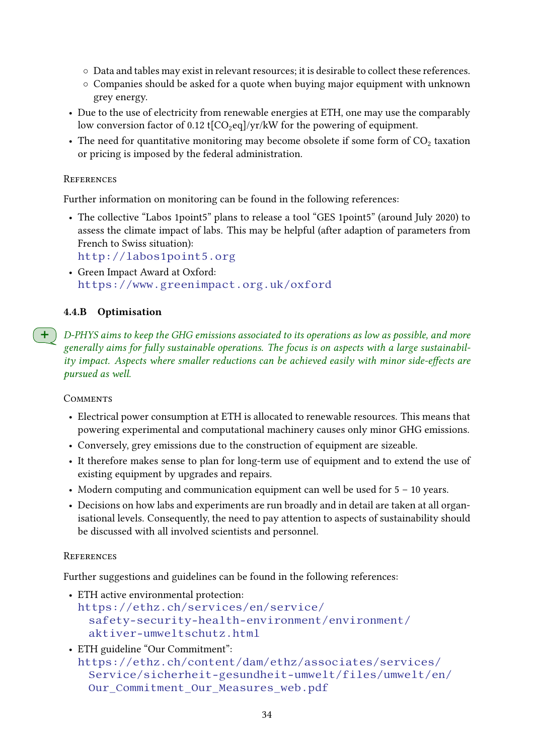- Data and tables may exist in relevant resources; it is desirable to collect these references.
- Companies should be asked for a quote when buying major equipment with unknown grey energy.
- Due to the use of electricity from renewable energies at ETH, one may use the comparably low conversion factor of 0.12 t[ $CO<sub>2</sub>$ eq]/yr/kW for the powering of equipment.
- The need for quantitative monitoring may become obsolete if some form of  $CO<sub>2</sub>$  taxation or pricing is imposed by the federal administration.

#### **REFERENCES**

Further information on monitoring can be found in the following references:

• The collective "Labos 1point5" plans to release a tool "GES 1point5" (around July 2020) to assess the climate impact of labs. This may be helpful (after adaption of parameters from French to Swiss situation):

<http://labos1point5.org>

• Green Impact Award at Oxford: <https://www.greenimpact.org.uk/oxford>

## 4.4.B Optimisation

 $+$  ) D-PHYS aims to keep the GHG emissions associated to its operations as low as possible, and more generally aims for fully sustainable operations. The focus is on aspects with a large sustainability impact. Aspects where smaller reductions can be achieved easily with minor side-effects are pursued as well.

#### **COMMENTS**

- Electrical power consumption at ETH is allocated to renewable resources. This means that powering experimental and computational machinery causes only minor GHG emissions.
- Conversely, grey emissions due to the construction of equipment are sizeable.
- It therefore makes sense to plan for long-term use of equipment and to extend the use of existing equipment by upgrades and repairs.
- Modern computing and communication equipment can well be used for  $5 10$  years.
- Decisions on how labs and experiments are run broadly and in detail are taken at all organisational levels. Consequently, the need to pay attention to aspects of sustainability should be discussed with all involved scientists and personnel.

#### **REFERENCES**

Further suggestions and guidelines can be found in the following references:

- ETH active environmental protection: [https://ethz.ch/services/en/service/](https://ethz.ch/services/en/service/safety-security-health-environment/environment/aktiver-umweltschutz.html) [safety-security-health-environment/environment/](https://ethz.ch/services/en/service/safety-security-health-environment/environment/aktiver-umweltschutz.html) [aktiver-umweltschutz.html](https://ethz.ch/services/en/service/safety-security-health-environment/environment/aktiver-umweltschutz.html)
- ETH guideline "Our Commitment": [https://ethz.ch/content/dam/ethz/associates/services/](https://ethz.ch/content/dam/ethz/associates/services/Service/sicherheit-gesundheit-umwelt/files/umwelt/en/Our_Commitment_Our_Measures_web.pdf) [Service/sicherheit-gesundheit-umwelt/files/umwelt/en/](https://ethz.ch/content/dam/ethz/associates/services/Service/sicherheit-gesundheit-umwelt/files/umwelt/en/Our_Commitment_Our_Measures_web.pdf) [Our\\_Commitment\\_Our\\_Measures\\_web.pdf](https://ethz.ch/content/dam/ethz/associates/services/Service/sicherheit-gesundheit-umwelt/files/umwelt/en/Our_Commitment_Our_Measures_web.pdf)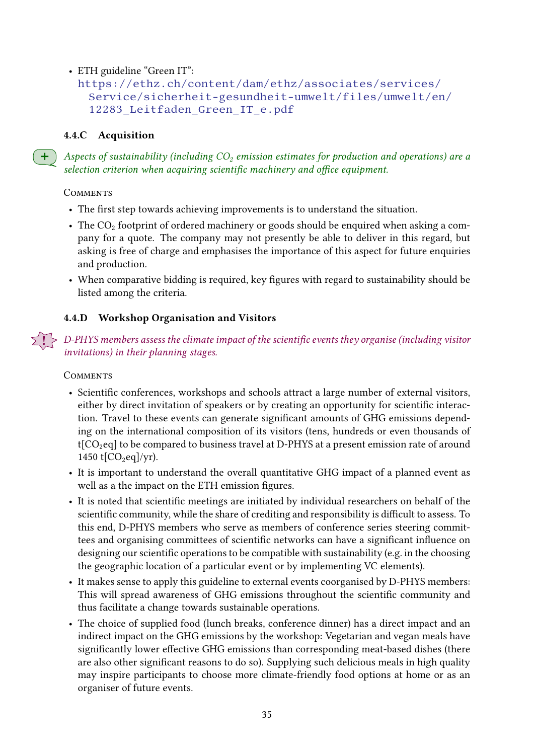## • ETH guideline "Green IT":

```
https://ethz.ch/content/dam/ethz/associates/services/
Service/sicherheit-gesundheit-umwelt/files/umwelt/en/
12283_Leitfaden_Green_IT_e.pdf
```
#### 4.4.C Acquisition

Aspects of sustainability (including  $CO<sub>2</sub>$  emission estimates for production and operations) are a selection criterion when acquiring scientific machinery and office equipment.

#### **COMMENTS**

- The first step towards achieving improvements is to understand the situation.
- The  $CO<sub>2</sub>$  footprint of ordered machinery or goods should be enquired when asking a company for a quote. The company may not presently be able to deliver in this regard, but asking is free of charge and emphasises the importance of this aspect for future enquiries and production.
- When comparative bidding is required, key figures with regard to sustainability should be listed among the criteria.

## <span id="page-34-0"></span>4.4.D Workshop Organisation and Visitors

. D-PHYS members assess the climate impact of the scientific events they organise (including visitor invitations) in their planning stages.

- Scientific conferences, workshops and schools attract a large number of external visitors, either by direct invitation of speakers or by creating an opportunity for scientific interaction. Travel to these events can generate significant amounts of GHG emissions depending on the international composition of its visitors (tens, hundreds or even thousands of  $t[CO_2$ eq] to be compared to business travel at D-PHYS at a present emission rate of around 1450 t $[CO_2$ eq]/yr).
- It is important to understand the overall quantitative GHG impact of a planned event as well as a the impact on the ETH emission figures.
- It is noted that scientific meetings are initiated by individual researchers on behalf of the scientific community, while the share of crediting and responsibility is difficult to assess. To this end, D-PHYS members who serve as members of conference series steering committees and organising committees of scientific networks can have a significant influence on designing our scientific operations to be compatible with sustainability (e.g. in the choosing the geographic location of a particular event or by implementing VC elements).
- It makes sense to apply this guideline to external events coorganised by D-PHYS members: This will spread awareness of GHG emissions throughout the scientific community and thus facilitate a change towards sustainable operations.
- The choice of supplied food (lunch breaks, conference dinner) has a direct impact and an indirect impact on the GHG emissions by the workshop: Vegetarian and vegan meals have significantly lower effective GHG emissions than corresponding meat-based dishes (there are also other significant reasons to do so). Supplying such delicious meals in high quality may inspire participants to choose more climate-friendly food options at home or as an organiser of future events.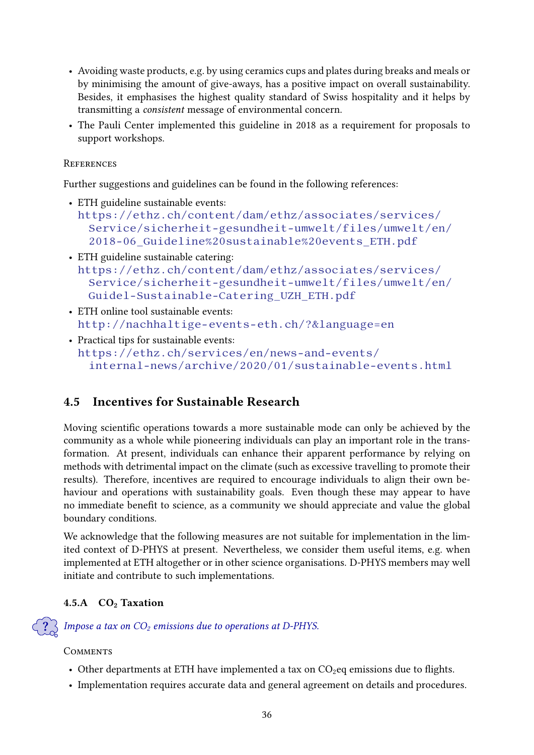- Avoiding waste products, e.g. by using ceramics cups and plates during breaks and meals or by minimising the amount of give-aways, has a positive impact on overall sustainability. Besides, it emphasises the highest quality standard of Swiss hospitality and it helps by transmitting a consistent message of environmental concern.
- The Pauli Center implemented this guideline in 2018 as a requirement for proposals to support workshops.

#### **REFERENCES**

Further suggestions and guidelines can be found in the following references:

- ETH guideline sustainable events: [https://ethz.ch/content/dam/ethz/associates/services/](https://ethz.ch/content/dam/ethz/associates/services/Service/sicherheit-gesundheit-umwelt/files/umwelt/en/2018-06_Guideline%20sustainable%20events_ETH.pdf) [Service/sicherheit-gesundheit-umwelt/files/umwelt/en/](https://ethz.ch/content/dam/ethz/associates/services/Service/sicherheit-gesundheit-umwelt/files/umwelt/en/2018-06_Guideline%20sustainable%20events_ETH.pdf) [2018-06\\_Guideline%20sustainable%20events\\_ETH.pdf](https://ethz.ch/content/dam/ethz/associates/services/Service/sicherheit-gesundheit-umwelt/files/umwelt/en/2018-06_Guideline%20sustainable%20events_ETH.pdf)
- ETH guideline sustainable catering: [https://ethz.ch/content/dam/ethz/associates/services/](https://ethz.ch/content/dam/ethz/associates/services/Service/sicherheit-gesundheit-umwelt/files/umwelt/en/Guidel-Sustainable-Catering_UZH_ETH.pdf) [Service/sicherheit-gesundheit-umwelt/files/umwelt/en/](https://ethz.ch/content/dam/ethz/associates/services/Service/sicherheit-gesundheit-umwelt/files/umwelt/en/Guidel-Sustainable-Catering_UZH_ETH.pdf) [Guidel-Sustainable-Catering\\_UZH\\_ETH.pdf](https://ethz.ch/content/dam/ethz/associates/services/Service/sicherheit-gesundheit-umwelt/files/umwelt/en/Guidel-Sustainable-Catering_UZH_ETH.pdf)
- ETH online tool sustainable events: <http://nachhaltige-events-eth.ch/?&language=en>
- Practical tips for sustainable events: [https://ethz.ch/services/en/news-and-events/](https://ethz.ch/services/en/news-and-events/internal-news/archive/2020/01/sustainable-events.html) [internal-news/archive/2020/01/sustainable-events.html](https://ethz.ch/services/en/news-and-events/internal-news/archive/2020/01/sustainable-events.html)

## <span id="page-35-0"></span>4.5 Incentives for Sustainable Research

Moving scientific operations towards a more sustainable mode can only be achieved by the community as a whole while pioneering individuals can play an important role in the transformation. At present, individuals can enhance their apparent performance by relying on methods with detrimental impact on the climate (such as excessive travelling to promote their results). Therefore, incentives are required to encourage individuals to align their own behaviour and operations with sustainability goals. Even though these may appear to have no immediate benefit to science, as a community we should appreciate and value the global boundary conditions.

We acknowledge that the following measures are not suitable for implementation in the limited context of D-PHYS at present. Nevertheless, we consider them useful items, e.g. when implemented at ETH altogether or in other science organisations. D-PHYS members may well initiate and contribute to such implementations.

## 4.5.A CO<sub>2</sub> Taxation

Impose a tax on  $CO<sub>2</sub>$  emissions due to operations at D-PHYS.

- Other departments at ETH have implemented a tax on  $CO<sub>2</sub>$ eq emissions due to flights.
- Implementation requires accurate data and general agreement on details and procedures.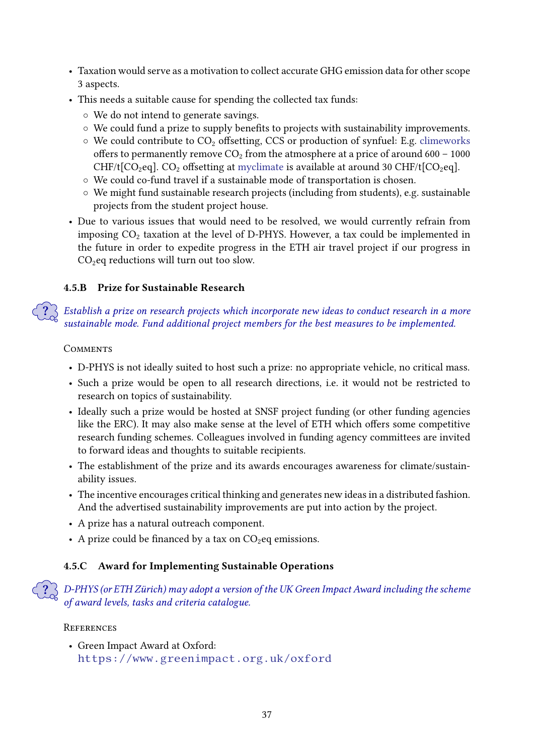- Taxation would serve as a motivation to collect accurate GHG emission data for other scope 3 aspects.
- This needs a suitable cause for spending the collected tax funds:
	- We do not intend to generate savings.
	- ⊙ We could fund a prize to supply benefits to projects with sustainability improvements.
	- $\circ$  We could contribute to CO<sub>2</sub> offsetting, CCS or production of synfuel: E.g. [climeworks](https://www.climeworks.com/) offers to permanently remove  $CO<sub>2</sub>$  from the atmosphere at a price of around 600 – 1000 CHF/t[CO<sub>2</sub>eq]. CO<sub>2</sub> offsetting at [myclimate](https://www.myclimate.org/carbon-offset/) is available at around 30 CHF/t[CO<sub>2</sub>eq].
	- We could co-fund travel if a sustainable mode of transportation is chosen.
	- We might fund sustainable research projects (including from students), e.g. sustainable projects from the student project house.
- Due to various issues that would need to be resolved, we would currently refrain from imposing  $CO<sub>2</sub>$  taxation at the level of D-PHYS. However, a tax could be implemented in the future in order to expedite progress in the ETH air travel project if our progress in  $CO<sub>2</sub>$ eq reductions will turn out too slow.

## 4.5.B Prize for Sustainable Research

? Establish a prize on research projects which incorporate new ideas to conduct research in a more sustainable mode. Fund additional project members for the best measures to be implemented.

#### **COMMENTS**

- D-PHYS is not ideally suited to host such a prize: no appropriate vehicle, no critical mass.
- Such a prize would be open to all research directions, i.e. it would not be restricted to research on topics of sustainability.
- Ideally such a prize would be hosted at SNSF project funding (or other funding agencies like the ERC). It may also make sense at the level of ETH which offers some competitive research funding schemes. Colleagues involved in funding agency committees are invited to forward ideas and thoughts to suitable recipients.
- The establishment of the prize and its awards encourages awareness for climate/sustainability issues.
- The incentive encourages critical thinking and generates new ideas in a distributed fashion. And the advertised sustainability improvements are put into action by the project.
- A prize has a natural outreach component.
- A prize could be financed by a tax on  $CO<sub>2</sub>$ eq emissions.

## 4.5.C Award for Implementing Sustainable Operations

? D-PHYS (or ETH Zürich) may adopt a version of the UK Green Impact Award including the scheme of award levels, tasks and criteria catalogue.

#### **REFERENCES**

• Green Impact Award at Oxford: <https://www.greenimpact.org.uk/oxford>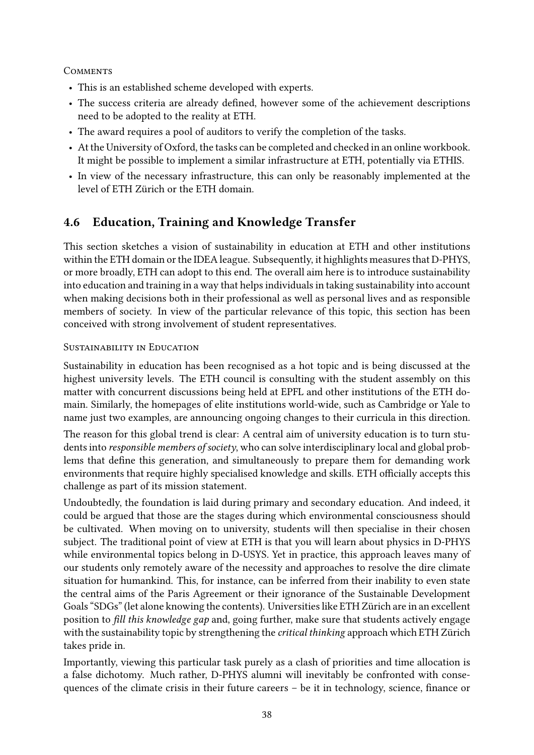#### **COMMENTS**

- This is an established scheme developed with experts.
- The success criteria are already defined, however some of the achievement descriptions need to be adopted to the reality at ETH.
- The award requires a pool of auditors to verify the completion of the tasks.
- At the University of Oxford, the tasks can be completed and checked in an online workbook. It might be possible to implement a similar infrastructure at ETH, potentially via ETHIS.
- In view of the necessary infrastructure, this can only be reasonably implemented at the level of ETH Zürich or the ETH domain.

## <span id="page-37-0"></span>4.6 Education, Training and Knowledge Transfer

This section sketches a vision of sustainability in education at ETH and other institutions within the ETH domain or the IDEA league. Subsequently, it highlights measures that D-PHYS, or more broadly, ETH can adopt to this end. The overall aim here is to introduce sustainability into education and training in a way that helps individuals in taking sustainability into account when making decisions both in their professional as well as personal lives and as responsible members of society. In view of the particular relevance of this topic, this section has been conceived with strong involvement of student representatives.

#### SUSTAINABILITY IN EDUCATION

Sustainability in education has been recognised as a hot topic and is being discussed at the highest university levels. The ETH council is consulting with the student assembly on this matter with concurrent discussions being held at EPFL and other institutions of the ETH domain. Similarly, the homepages of elite institutions world-wide, such as Cambridge or Yale to name just two examples, are announcing ongoing changes to their curricula in this direction.

The reason for this global trend is clear: A central aim of university education is to turn students into responsible members of society, who can solve interdisciplinary local and global problems that define this generation, and simultaneously to prepare them for demanding work environments that require highly specialised knowledge and skills. ETH officially accepts this challenge as part of its mission statement.

Undoubtedly, the foundation is laid during primary and secondary education. And indeed, it could be argued that those are the stages during which environmental consciousness should be cultivated. When moving on to university, students will then specialise in their chosen subject. The traditional point of view at ETH is that you will learn about physics in D-PHYS while environmental topics belong in D-USYS. Yet in practice, this approach leaves many of our students only remotely aware of the necessity and approaches to resolve the dire climate situation for humankind. This, for instance, can be inferred from their inability to even state the central aims of the Paris Agreement or their ignorance of the Sustainable Development Goals "SDGs" (let alone knowing the contents). Universities like ETH Zürich are in an excellent position to fill this knowledge gap and, going further, make sure that students actively engage with the sustainability topic by strengthening the critical thinking approach which ETH Zürich takes pride in.

Importantly, viewing this particular task purely as a clash of priorities and time allocation is a false dichotomy. Much rather, D-PHYS alumni will inevitably be confronted with consequences of the climate crisis in their future careers  $-$  be it in technology, science, finance or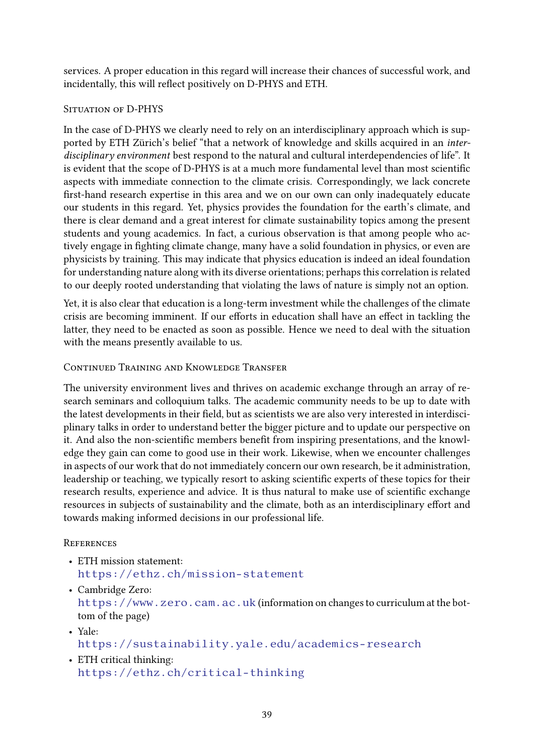services. A proper education in this regard will increase their chances of successful work, and incidentally, this will reflect positively on D-PHYS and ETH.

## SITUATION OF D-PHYS

In the case of D-PHYS we clearly need to rely on an interdisciplinary approach which is supported by ETH Zürich's belief "that a network of knowledge and skills acquired in an interdisciplinary environment best respond to the natural and cultural interdependencies of life". It is evident that the scope of D-PHYS is at a much more fundamental level than most scientific aspects with immediate connection to the climate crisis. Correspondingly, we lack concrete first-hand research expertise in this area and we on our own can only inadequately educate our students in this regard. Yet, physics provides the foundation for the earth's climate, and there is clear demand and a great interest for climate sustainability topics among the present students and young academics. In fact, a curious observation is that among people who actively engage in fighting climate change, many have a solid foundation in physics, or even are physicists by training. This may indicate that physics education is indeed an ideal foundation for understanding nature along with its diverse orientations; perhaps this correlation is related to our deeply rooted understanding that violating the laws of nature is simply not an option.

Yet, it is also clear that education is a long-term investment while the challenges of the climate crisis are becoming imminent. If our efforts in education shall have an effect in tackling the latter, they need to be enacted as soon as possible. Hence we need to deal with the situation with the means presently available to us.

## Continued Training and Knowledge Transfer

The university environment lives and thrives on academic exchange through an array of research seminars and colloquium talks. The academic community needs to be up to date with the latest developments in their field, but as scientists we are also very interested in interdisciplinary talks in order to understand better the bigger picture and to update our perspective on it. And also the non-scientific members benefit from inspiring presentations, and the knowledge they gain can come to good use in their work. Likewise, when we encounter challenges in aspects of our work that do not immediately concern our own research, be it administration, leadership or teaching, we typically resort to asking scientific experts of these topics for their research results, experience and advice. It is thus natural to make use of scientific exchange resources in subjects of sustainability and the climate, both as an interdisciplinary effort and towards making informed decisions in our professional life.

## **REFERENCES**

- ETH mission statement: <https://ethz.ch/mission-statement>
- Cambridge Zero:
	- <https://www.zero.cam.ac.uk> (information on changes to curriculum at the bottom of the page)
- Yale: <https://sustainability.yale.edu/academics-research>
- ETH critical thinking: <https://ethz.ch/critical-thinking>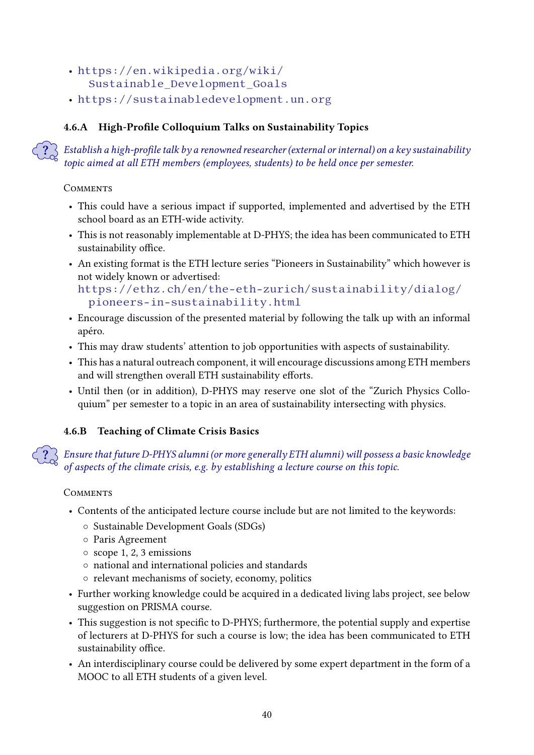- [https://en.wikipedia.org/wiki/](https://en.wikipedia.org/wiki/Sustainable_Development_Goals) [Sustainable\\_Development\\_Goals](https://en.wikipedia.org/wiki/Sustainable_Development_Goals)
- <https://sustainabledevelopment.un.org>

## 4.6.A High-Profile Colloquium Talks on Sustainability Topics

Establish a high-profile talk by a renowned researcher (external or internal) on a key sustainability topic aimed at all ETH members (employees, students) to be held once per semester.

## **COMMENTS**

- This could have a serious impact if supported, implemented and advertised by the ETH school board as an ETH-wide activity.
- This is not reasonably implementable at D-PHYS; the idea has been communicated to ETH sustainability office.
- An existing format is the ETH lecture series "Pioneers in Sustainability" which however is not widely known or advertised:

```
https://ethz.ch/en/the-eth-zurich/sustainability/dialog/
pioneers-in-sustainability.html
```
- Encourage discussion of the presented material by following the talk up with an informal apéro.
- This may draw students' attention to job opportunities with aspects of sustainability.
- This has a natural outreach component, it will encourage discussions among ETH members and will strengthen overall ETH sustainability efforts.
- Until then (or in addition), D-PHYS may reserve one slot of the "Zurich Physics Colloquium" per semester to a topic in an area of sustainability intersecting with physics.

## 4.6.B Teaching of Climate Crisis Basics

? Ensure that future D-PHYS alumni (or more generally ETH alumni) will possess a basic knowledge of aspects of the climate crisis, e.g. by establishing a lecture course on this topic.

- Contents of the anticipated lecture course include but are not limited to the keywords:
	- Sustainable Development Goals (SDGs)
	- Paris Agreement
	- scope 1, 2, 3 emissions
	- national and international policies and standards
	- relevant mechanisms of society, economy, politics
- Further working knowledge could be acquired in a dedicated living labs project, see below suggestion on PRISMA course.
- This suggestion is not specific to D-PHYS; furthermore, the potential supply and expertise of lecturers at D-PHYS for such a course is low; the idea has been communicated to ETH sustainability office.
- An interdisciplinary course could be delivered by some expert department in the form of a MOOC to all ETH students of a given level.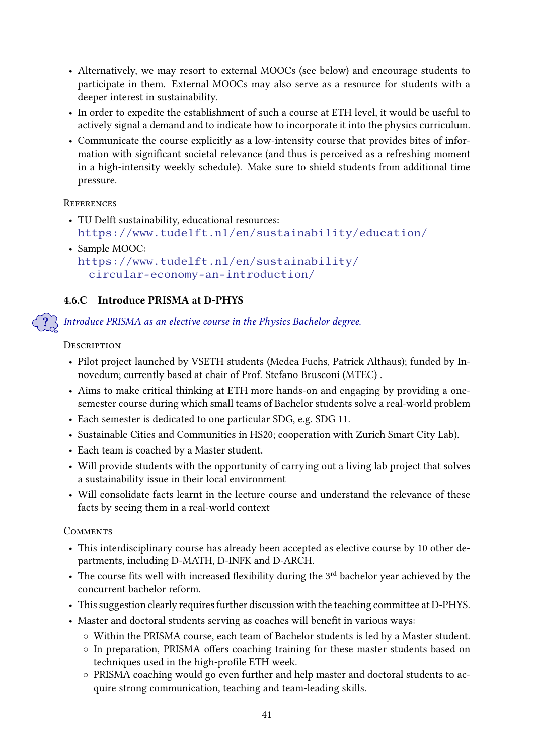- Alternatively, we may resort to external MOOCs (see below) and encourage students to participate in them. External MOOCs may also serve as a resource for students with a deeper interest in sustainability.
- In order to expedite the establishment of such a course at ETH level, it would be useful to actively signal a demand and to indicate how to incorporate it into the physics curriculum.
- Communicate the course explicitly as a low-intensity course that provides bites of information with significant societal relevance (and thus is perceived as a refreshing moment in a high-intensity weekly schedule). Make sure to shield students from additional time pressure.

## **REFERENCES**

- TU Delft sustainability, educational resources: <https://www.tudelft.nl/en/sustainability/education/>
- Sample MOOC: [https://www.tudelft.nl/en/sustainability/](https://www.tudelft.nl/en/sustainability/circular-economy-an-introduction/) [circular-economy-an-introduction/](https://www.tudelft.nl/en/sustainability/circular-economy-an-introduction/)

## 4.6.C Introduce PRISMA at D-PHYS

? Introduce PRISMA as an elective course in the Physics Bachelor degree.

**DESCRIPTION** 

- Pilot project launched by VSETH students (Medea Fuchs, Patrick Althaus); funded by Innovedum; currently based at chair of Prof. Stefano Brusconi (MTEC) .
- Aims to make critical thinking at ETH more hands-on and engaging by providing a onesemester course during which small teams of Bachelor students solve a real-world problem
- Each semester is dedicated to one particular SDG, e.g. SDG 11.
- Sustainable Cities and Communities in HS20; cooperation with Zurich Smart City Lab).
- Each team is coached by a Master student.
- Will provide students with the opportunity of carrying out a living lab project that solves a sustainability issue in their local environment
- Will consolidate facts learnt in the lecture course and understand the relevance of these facts by seeing them in a real-world context

- This interdisciplinary course has already been accepted as elective course by 10 other departments, including D-MATH, D-INFK and D-ARCH.
- The course fits well with increased flexibility during the  $3<sup>rd</sup>$  bachelor year achieved by the concurrent bachelor reform.
- This suggestion clearly requires further discussion with the teaching committee at D-PHYS.
- Master and doctoral students serving as coaches will benefit in various ways:
	- Within the PRISMA course, each team of Bachelor students is led by a Master student.
	- In preparation, PRISMA offers coaching training for these master students based on techniques used in the high-profile ETH week.
	- PRISMA coaching would go even further and help master and doctoral students to acquire strong communication, teaching and team-leading skills.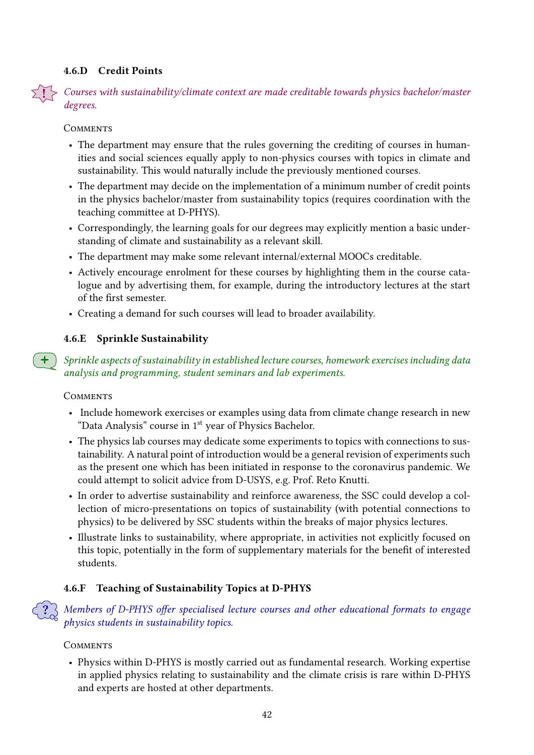## <span id="page-41-0"></span>4.6.D Credit Points

! Courses with sustainability/climate context are made creditable towards physics bachelor/master degrees.

**COMMENTS** 

- The department may ensure that the rules governing the crediting of courses in humanities and social sciences equally apply to non-physics courses with topics in climate and sustainability. This would naturally include the previously mentioned courses.
- The department may decide on the implementation of a minimum number of credit points in the physics bachelor/master from sustainability topics (requires coordination with the teaching committee at D-PHYS).
- Correspondingly, the learning goals for our degrees may explicitly mention a basic understanding of climate and sustainability as a relevant skill.
- The department may make some relevant internal/external MOOCs creditable.
- Actively encourage enrolment for these courses by highlighting them in the course catalogue and by advertising them, for example, during the introductory lectures at the start of the first semester.
- Creating a demand for such courses will lead to broader availability.

## 4.6.E Sprinkle Sustainability

Sprinkle aspects of sustainability in established lecture courses, homework exercises including data analysis and programming, student seminars and lab experiments.

#### **COMMENTS**

- Include homework exercises or examples using data from climate change research in new "Data Analysis" course in 1<sup>st</sup> year of Physics Bachelor.
- The physics lab courses may dedicate some experiments to topics with connections to sustainability. A natural point of introduction would be a general revision of experiments such as the present one which has been initiated in response to the coronavirus pandemic. We could attempt to solicit advice from D-USYS, e.g. Prof. Reto Knutti.
- In order to advertise sustainability and reinforce awareness, the SSC could develop a collection of micro-presentations on topics of sustainability (with potential connections to physics) to be delivered by SSC students within the breaks of major physics lectures.
- Illustrate links to sustainability, where appropriate, in activities not explicitly focused on this topic, potentially in the form of supplementary materials for the benefit of interested students.

## 4.6.F Teaching of Sustainability Topics at D-PHYS

Members of D-PHYS offer specialised lecture courses and other educational formats to engage physics students in sustainability topics.

## **COMMENTS**

• Physics within D-PHYS is mostly carried out as fundamental research. Working expertise in applied physics relating to sustainability and the climate crisis is rare within D-PHYS and experts are hosted at other departments.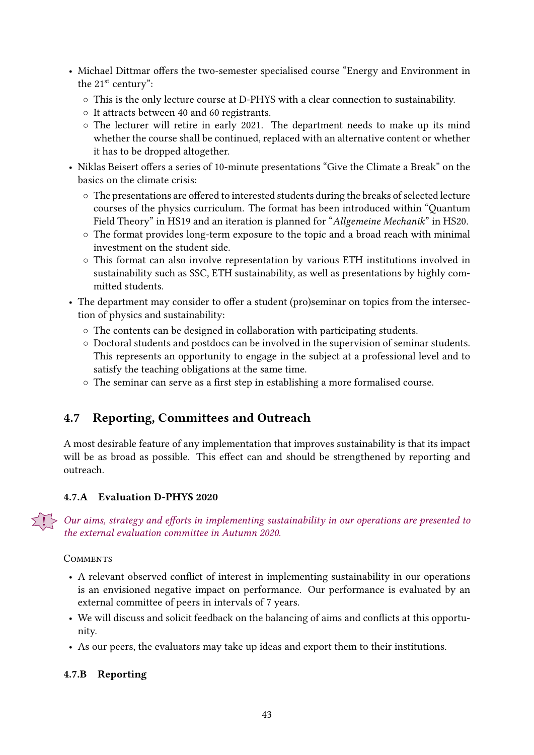- Michael Dittmar offers the two-semester specialised course "Energy and Environment in the 21<sup>st</sup> century":
	- This is the only lecture course at D-PHYS with a clear connection to sustainability.
	- It attracts between 40 and 60 registrants.
	- The lecturer will retire in early 2021. The department needs to make up its mind whether the course shall be continued, replaced with an alternative content or whether it has to be dropped altogether.
- Niklas Beisert offers a series of 10-minute presentations "Give the Climate a Break" on the basics on the climate crisis:
	- ⊙ The presentations are offered to interested students during the breaks of selected lecture courses of the physics curriculum. The format has been introduced within "Quantum Field Theory" in HS19 and an iteration is planned for "Allgemeine Mechanik" in HS20.
	- The format provides long-term exposure to the topic and a broad reach with minimal investment on the student side.
	- This format can also involve representation by various ETH institutions involved in sustainability such as SSC, ETH sustainability, as well as presentations by highly committed students.
- The department may consider to offer a student (pro)seminar on topics from the intersection of physics and sustainability:
	- The contents can be designed in collaboration with participating students.
	- Doctoral students and postdocs can be involved in the supervision of seminar students. This represents an opportunity to engage in the subject at a professional level and to satisfy the teaching obligations at the same time.
	- ⊙ The seminar can serve as a first step in establishing a more formalised course.

## <span id="page-42-1"></span>4.7 Reporting, Committees and Outreach

A most desirable feature of any implementation that improves sustainability is that its impact will be as broad as possible. This effect can and should be strengthened by reporting and outreach.

## <span id="page-42-0"></span>4.7.A Evaluation D-PHYS 2020

Our aims, strategy and efforts in implementing sustainability in our operations are presented to the external evaluation committee in Autumn 2020.

## **COMMENTS**

- A relevant observed conflict of interest in implementing sustainability in our operations is an envisioned negative impact on performance. Our performance is evaluated by an external committee of peers in intervals of 7 years.
- We will discuss and solicit feedback on the balancing of aims and conflicts at this opportunity.
- As our peers, the evaluators may take up ideas and export them to their institutions.

## 4.7.B Reporting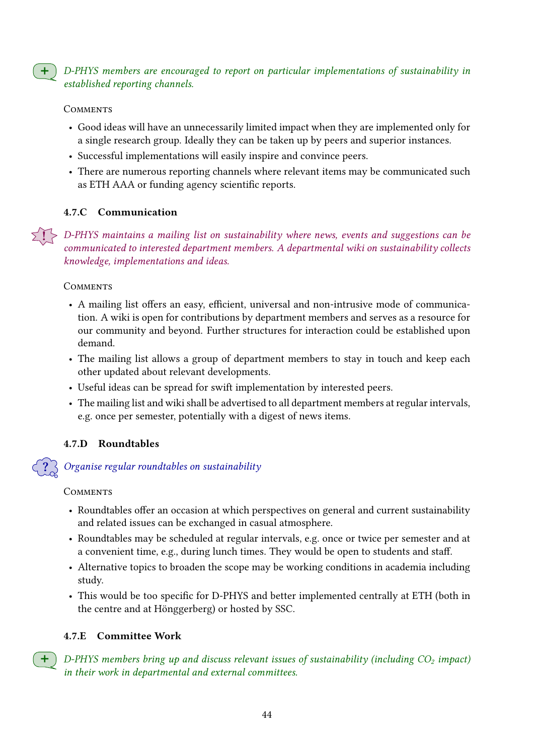$+$  D-PHYS members are encouraged to report on particular implementations of sustainability in established reporting channels.

#### **COMMENTS**

- Good ideas will have an unnecessarily limited impact when they are implemented only for a single research group. Ideally they can be taken up by peers and superior instances.
- Successful implementations will easily inspire and convince peers.
- There are numerous reporting channels where relevant items may be communicated such as ETH AAA or funding agency scientific reports.

## <span id="page-43-0"></span>4.7.C Communication

 $\geq 1$  > D-PHYS maintains a mailing list on sustainability where news, events and suggestions can be communicated to interested department members. A departmental wiki on sustainability collects knowledge, implementations and ideas.

## **COMMENTS**

- A mailing list offers an easy, efficient, universal and non-intrusive mode of communication. A wiki is open for contributions by department members and serves as a resource for our community and beyond. Further structures for interaction could be established upon demand.
- The mailing list allows a group of department members to stay in touch and keep each other updated about relevant developments.
- Useful ideas can be spread for swift implementation by interested peers.
- The mailing list and wiki shall be advertised to all department members at regular intervals, e.g. once per semester, potentially with a digest of news items.

## 4.7.D Roundtables

## ? Organise regular roundtables on sustainability

#### **COMMENTS**

- Roundtables offer an occasion at which perspectives on general and current sustainability and related issues can be exchanged in casual atmosphere.
- Roundtables may be scheduled at regular intervals, e.g. once or twice per semester and at a convenient time, e.g., during lunch times. They would be open to students and staff.
- Alternative topics to broaden the scope may be working conditions in academia including study.
- This would be too specific for D-PHYS and better implemented centrally at ETH (both in the centre and at Hönggerberg) or hosted by SSC.

## 4.7.E Committee Work

 $\bigoplus$  D-PHYS members bring up and discuss relevant issues of sustainability (including CO<sub>2</sub> impact) in their work in departmental and external committees.